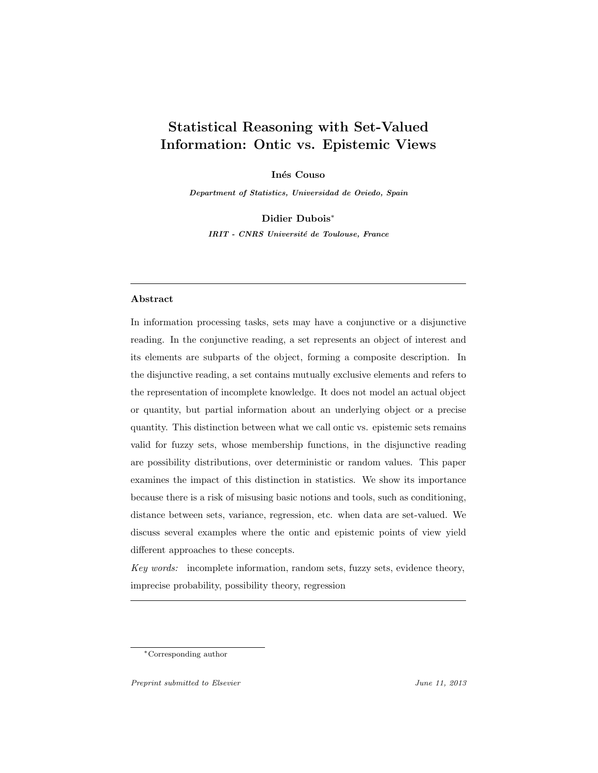# Statistical Reasoning with Set-Valued Information: Ontic vs. Epistemic Views

Inés Couso

Department of Statistics, Universidad de Oviedo, Spain

Didier Dubois<sup>∗</sup>

IRIT - CNRS Université de Toulouse, France

# Abstract

In information processing tasks, sets may have a conjunctive or a disjunctive reading. In the conjunctive reading, a set represents an object of interest and its elements are subparts of the object, forming a composite description. In the disjunctive reading, a set contains mutually exclusive elements and refers to the representation of incomplete knowledge. It does not model an actual object or quantity, but partial information about an underlying object or a precise quantity. This distinction between what we call ontic vs. epistemic sets remains valid for fuzzy sets, whose membership functions, in the disjunctive reading are possibility distributions, over deterministic or random values. This paper examines the impact of this distinction in statistics. We show its importance because there is a risk of misusing basic notions and tools, such as conditioning, distance between sets, variance, regression, etc. when data are set-valued. We discuss several examples where the ontic and epistemic points of view yield different approaches to these concepts.

Key words: incomplete information, random sets, fuzzy sets, evidence theory, imprecise probability, possibility theory, regression

Preprint submitted to Elsevier Theorem 1. 2013

<sup>∗</sup>Corresponding author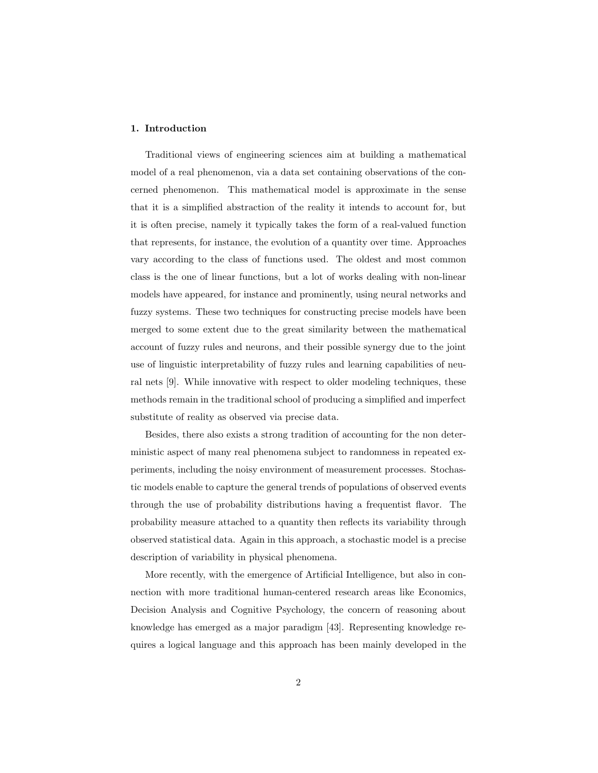# 1. Introduction

Traditional views of engineering sciences aim at building a mathematical model of a real phenomenon, via a data set containing observations of the concerned phenomenon. This mathematical model is approximate in the sense that it is a simplified abstraction of the reality it intends to account for, but it is often precise, namely it typically takes the form of a real-valued function that represents, for instance, the evolution of a quantity over time. Approaches vary according to the class of functions used. The oldest and most common class is the one of linear functions, but a lot of works dealing with non-linear models have appeared, for instance and prominently, using neural networks and fuzzy systems. These two techniques for constructing precise models have been merged to some extent due to the great similarity between the mathematical account of fuzzy rules and neurons, and their possible synergy due to the joint use of linguistic interpretability of fuzzy rules and learning capabilities of neural nets [9]. While innovative with respect to older modeling techniques, these methods remain in the traditional school of producing a simplified and imperfect substitute of reality as observed via precise data.

Besides, there also exists a strong tradition of accounting for the non deterministic aspect of many real phenomena subject to randomness in repeated experiments, including the noisy environment of measurement processes. Stochastic models enable to capture the general trends of populations of observed events through the use of probability distributions having a frequentist flavor. The probability measure attached to a quantity then reflects its variability through observed statistical data. Again in this approach, a stochastic model is a precise description of variability in physical phenomena.

More recently, with the emergence of Artificial Intelligence, but also in connection with more traditional human-centered research areas like Economics, Decision Analysis and Cognitive Psychology, the concern of reasoning about knowledge has emerged as a major paradigm [43]. Representing knowledge requires a logical language and this approach has been mainly developed in the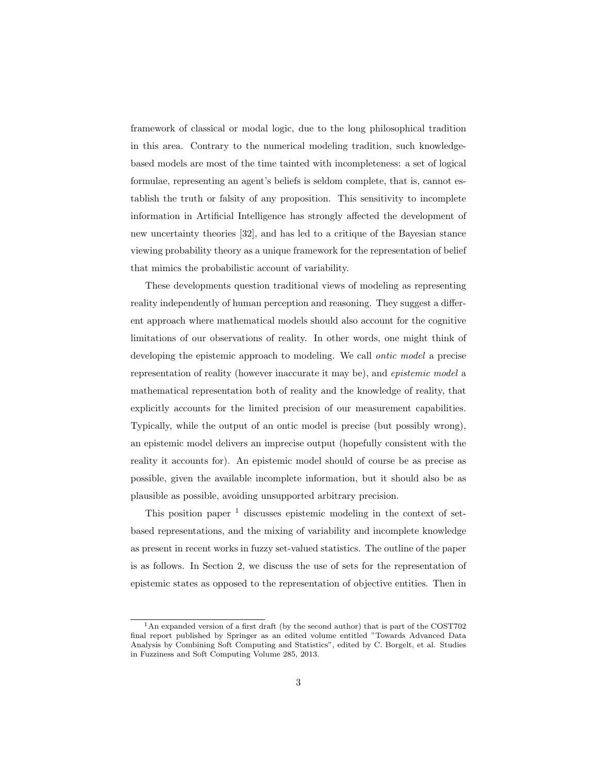framework of classical or modal logic, due to the long philosophical tradition in this area. Contrary to the numerical modeling tradition, such knowledgebased models are most of the time tainted with incompleteness: a set of logical formulae, representing an agent's beliefs is seldom complete, that is, cannot establish the truth or falsity of any proposition. This sensitivity to incomplete information in Artificial Intelligence has strongly affected the development of new uncertainty theories [32], and has led to a critique of the Bayesian stance viewing probability theory as a unique framework for the representation of belief that mimics the probabilistic account of variability.

These developments question traditional views of modeling as representing reality independently of human perception and reasoning. They suggest a different approach where mathematical models should also account for the cognitive limitations of our observations of reality. In other words, one might think of developing the epistemic approach to modeling. We call ontic model a precise representation of reality (however inaccurate it may be), and epistemic model a mathematical representation both of reality and the knowledge of reality, that explicitly accounts for the limited precision of our measurement capabilities. Typically, while the output of an ontic model is precise (but possibly wrong), an epistemic model delivers an imprecise output (hopefully consistent with the reality it accounts for). An epistemic model should of course be as precise as possible, given the available incomplete information, but it should also be as plausible as possible, avoiding unsupported arbitrary precision.

This position paper  $<sup>1</sup>$  discusses epistemic modeling in the context of set-</sup> based representations, and the mixing of variability and incomplete knowledge as present in recent works in fuzzy set-valued statistics. The outline of the paper is as follows. In Section 2, we discuss the use of sets for the representation of epistemic states as opposed to the representation of objective entities. Then in

<sup>&</sup>lt;sup>1</sup>An expanded version of a first draft (by the second author) that is part of the COST702 final report published by Springer as an edited volume entitled "Towards Advanced Data Analysis by Combining Soft Computing and Statistics", edited by C. Borgelt, et al. Studies in Fuzziness and Soft Computing Volume 285, 2013.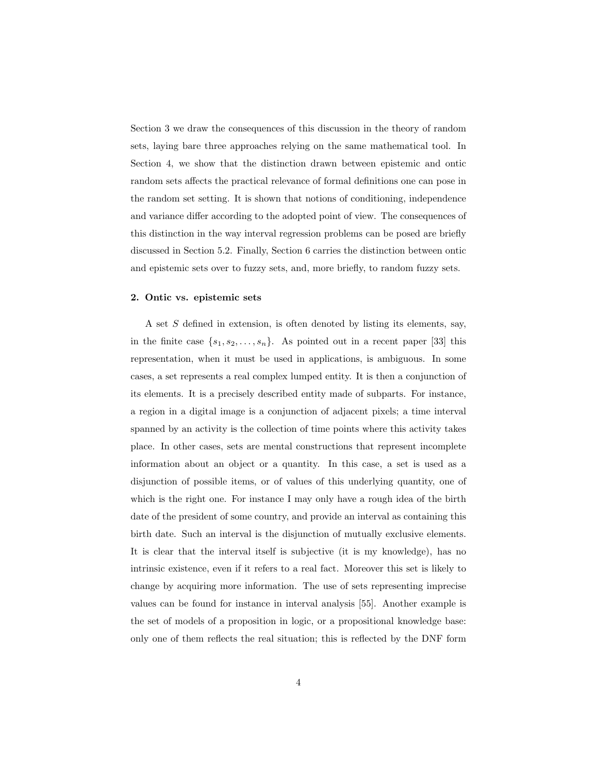Section 3 we draw the consequences of this discussion in the theory of random sets, laying bare three approaches relying on the same mathematical tool. In Section 4, we show that the distinction drawn between epistemic and ontic random sets affects the practical relevance of formal definitions one can pose in the random set setting. It is shown that notions of conditioning, independence and variance differ according to the adopted point of view. The consequences of this distinction in the way interval regression problems can be posed are briefly discussed in Section 5.2. Finally, Section 6 carries the distinction between ontic and epistemic sets over to fuzzy sets, and, more briefly, to random fuzzy sets.

#### 2. Ontic vs. epistemic sets

A set S defined in extension, is often denoted by listing its elements, say, in the finite case  $\{s_1, s_2, \ldots, s_n\}$ . As pointed out in a recent paper [33] this representation, when it must be used in applications, is ambiguous. In some cases, a set represents a real complex lumped entity. It is then a conjunction of its elements. It is a precisely described entity made of subparts. For instance, a region in a digital image is a conjunction of adjacent pixels; a time interval spanned by an activity is the collection of time points where this activity takes place. In other cases, sets are mental constructions that represent incomplete information about an object or a quantity. In this case, a set is used as a disjunction of possible items, or of values of this underlying quantity, one of which is the right one. For instance I may only have a rough idea of the birth date of the president of some country, and provide an interval as containing this birth date. Such an interval is the disjunction of mutually exclusive elements. It is clear that the interval itself is subjective (it is my knowledge), has no intrinsic existence, even if it refers to a real fact. Moreover this set is likely to change by acquiring more information. The use of sets representing imprecise values can be found for instance in interval analysis [55]. Another example is the set of models of a proposition in logic, or a propositional knowledge base: only one of them reflects the real situation; this is reflected by the DNF form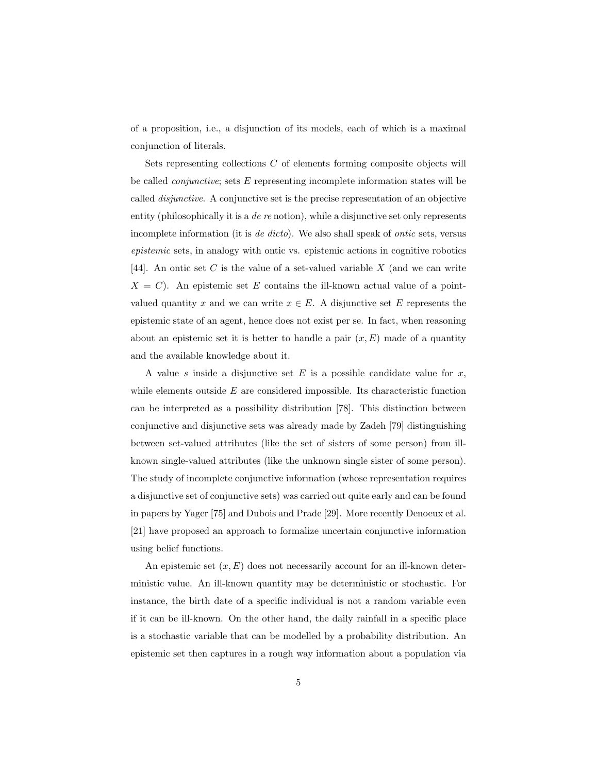of a proposition, i.e., a disjunction of its models, each of which is a maximal conjunction of literals.

Sets representing collections C of elements forming composite objects will be called *conjunctive*; sets  $E$  representing incomplete information states will be called disjunctive. A conjunctive set is the precise representation of an objective entity (philosophically it is a *de re* notion), while a disjunctive set only represents incomplete information (it is *de dicto*). We also shall speak of *ontic* sets, versus epistemic sets, in analogy with ontic vs. epistemic actions in cognitive robotics [44]. An ontic set C is the value of a set-valued variable  $X$  (and we can write  $X = C$ ). An epistemic set E contains the ill-known actual value of a pointvalued quantity x and we can write  $x \in E$ . A disjunctive set E represents the epistemic state of an agent, hence does not exist per se. In fact, when reasoning about an epistemic set it is better to handle a pair  $(x, E)$  made of a quantity and the available knowledge about it.

A value s inside a disjunctive set  $E$  is a possible candidate value for  $x$ , while elements outside  $E$  are considered impossible. Its characteristic function can be interpreted as a possibility distribution [78]. This distinction between conjunctive and disjunctive sets was already made by Zadeh [79] distinguishing between set-valued attributes (like the set of sisters of some person) from illknown single-valued attributes (like the unknown single sister of some person). The study of incomplete conjunctive information (whose representation requires a disjunctive set of conjunctive sets) was carried out quite early and can be found in papers by Yager [75] and Dubois and Prade [29]. More recently Denoeux et al. [21] have proposed an approach to formalize uncertain conjunctive information using belief functions.

An epistemic set  $(x, E)$  does not necessarily account for an ill-known deterministic value. An ill-known quantity may be deterministic or stochastic. For instance, the birth date of a specific individual is not a random variable even if it can be ill-known. On the other hand, the daily rainfall in a specific place is a stochastic variable that can be modelled by a probability distribution. An epistemic set then captures in a rough way information about a population via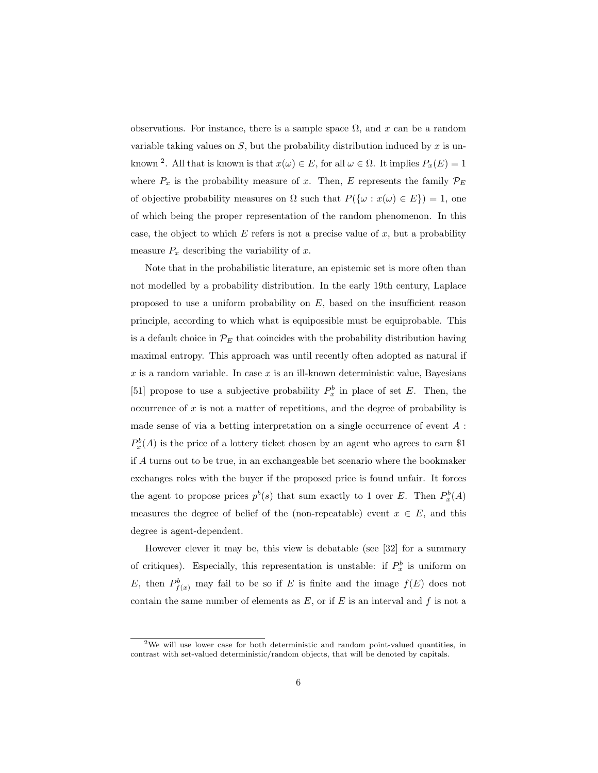observations. For instance, there is a sample space  $\Omega$ , and x can be a random variable taking values on  $S$ , but the probability distribution induced by  $x$  is unknown <sup>2</sup>. All that is known is that  $x(\omega) \in E$ , for all  $\omega \in \Omega$ . It implies  $P_x(E) = 1$ where  $P_x$  is the probability measure of x. Then, E represents the family  $\mathcal{P}_E$ of objective probability measures on  $\Omega$  such that  $P({\omega : x(\omega) \in E}) = 1$ , one of which being the proper representation of the random phenomenon. In this case, the object to which  $E$  refers is not a precise value of  $x$ , but a probability measure  $P_x$  describing the variability of x.

Note that in the probabilistic literature, an epistemic set is more often than not modelled by a probability distribution. In the early 19th century, Laplace proposed to use a uniform probability on  $E$ , based on the insufficient reason principle, according to which what is equipossible must be equiprobable. This is a default choice in  $\mathcal{P}_E$  that coincides with the probability distribution having maximal entropy. This approach was until recently often adopted as natural if  $x$  is a random variable. In case  $x$  is an ill-known deterministic value, Bayesians [51] propose to use a subjective probability  $P_x^b$  in place of set E. Then, the occurrence of  $x$  is not a matter of repetitions, and the degree of probability is made sense of via a betting interpretation on a single occurrence of event A :  $P^b_x({\cal A})$  is the price of a lottery ticket chosen by an agent who agrees to earn \$1 if A turns out to be true, in an exchangeable bet scenario where the bookmaker exchanges roles with the buyer if the proposed price is found unfair. It forces the agent to propose prices  $p^{b}(s)$  that sum exactly to 1 over E. Then  $P_{x}^{b}(A)$ measures the degree of belief of the (non-repeatable) event  $x \in E$ , and this degree is agent-dependent.

However clever it may be, this view is debatable (see [32] for a summary of critiques). Especially, this representation is unstable: if  $P_x^b$  is uniform on E, then  $P_{f(x)}^b$  may fail to be so if E is finite and the image  $f(E)$  does not contain the same number of elements as  $E$ , or if  $E$  is an interval and  $f$  is not a

<sup>&</sup>lt;sup>2</sup>We will use lower case for both deterministic and random point-valued quantities, in contrast with set-valued deterministic/random objects, that will be denoted by capitals.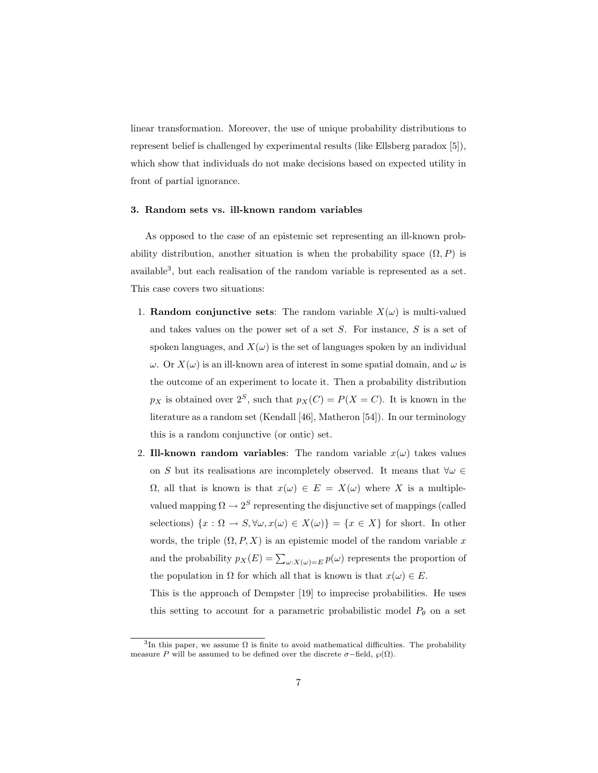linear transformation. Moreover, the use of unique probability distributions to represent belief is challenged by experimental results (like Ellsberg paradox [5]), which show that individuals do not make decisions based on expected utility in front of partial ignorance.

# 3. Random sets vs. ill-known random variables

As opposed to the case of an epistemic set representing an ill-known probability distribution, another situation is when the probability space  $(\Omega, P)$  is available<sup>3</sup> , but each realisation of the random variable is represented as a set. This case covers two situations:

- 1. **Random conjunctive sets:** The random variable  $X(\omega)$  is multi-valued and takes values on the power set of a set  $S$ . For instance,  $S$  is a set of spoken languages, and  $X(\omega)$  is the set of languages spoken by an individual  $ω$ . Or  $X(ω)$  is an ill-known area of interest in some spatial domain, and  $ω$  is the outcome of an experiment to locate it. Then a probability distribution  $p_X$  is obtained over  $2^S$ , such that  $p_X(C) = P(X = C)$ . It is known in the literature as a random set (Kendall [46], Matheron [54]). In our terminology this is a random conjunctive (or ontic) set.
- 2. Ill-known random variables: The random variable  $x(\omega)$  takes values on S but its realisations are incompletely observed. It means that  $\forall \omega \in$  $\Omega$ , all that is known is that  $x(\omega) \in E = X(\omega)$  where X is a multiplevalued mapping  $\Omega \to 2^S$  representing the disjunctive set of mappings (called selections)  $\{x : \Omega \to S, \forall \omega, x(\omega) \in X(\omega)\} = \{x \in X\}$  for short. In other words, the triple  $(\Omega, P, X)$  is an epistemic model of the random variable x and the probability  $p_X(E) = \sum_{\omega \,:\, X(\omega) = E} p(\omega)$  represents the proportion of the population in  $\Omega$  for which all that is known is that  $x(\omega) \in E$ . This is the approach of Dempster [19] to imprecise probabilities. He uses

this setting to account for a parametric probabilistic model  $P_{\theta}$  on a set

<sup>&</sup>lt;sup>3</sup>In this paper, we assume  $\Omega$  is finite to avoid mathematical difficulties. The probability measure P will be assumed to be defined over the discrete  $\sigma$ -field,  $\wp(\Omega)$ .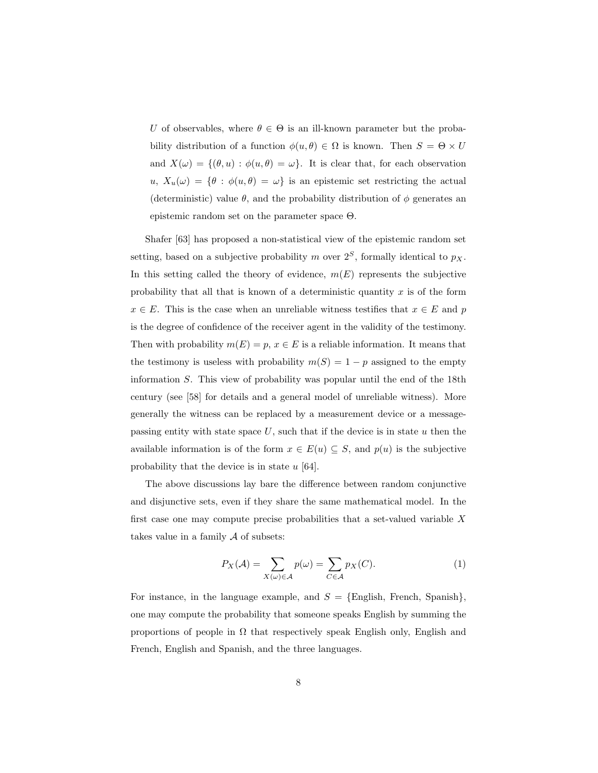U of observables, where  $\theta \in \Theta$  is an ill-known parameter but the probability distribution of a function  $\phi(u, \theta) \in \Omega$  is known. Then  $S = \Theta \times U$ and  $X(\omega) = \{(\theta, u) : \phi(u, \theta) = \omega\}.$  It is clear that, for each observation  $u, X_u(\omega) = \{\theta : \phi(u, \theta) = \omega\}$  is an epistemic set restricting the actual (deterministic) value  $\theta$ , and the probability distribution of  $\phi$  generates an epistemic random set on the parameter space  $\Theta$ .

Shafer [63] has proposed a non-statistical view of the epistemic random set setting, based on a subjective probability m over  $2<sup>S</sup>$ , formally identical to  $p<sub>X</sub>$ . In this setting called the theory of evidence,  $m(E)$  represents the subjective probability that all that is known of a deterministic quantity  $x$  is of the form  $x \in E$ . This is the case when an unreliable witness testifies that  $x \in E$  and p is the degree of confidence of the receiver agent in the validity of the testimony. Then with probability  $m(E) = p, x \in E$  is a reliable information. It means that the testimony is useless with probability  $m(S) = 1 - p$  assigned to the empty information S. This view of probability was popular until the end of the 18th century (see [58] for details and a general model of unreliable witness). More generally the witness can be replaced by a measurement device or a messagepassing entity with state space  $U$ , such that if the device is in state  $u$  then the available information is of the form  $x \in E(u) \subseteq S$ , and  $p(u)$  is the subjective probability that the device is in state  $u$  [64].

The above discussions lay bare the difference between random conjunctive and disjunctive sets, even if they share the same mathematical model. In the first case one may compute precise probabilities that a set-valued variable  $X$ takes value in a family  $A$  of subsets:

$$
P_X(\mathcal{A}) = \sum_{X(\omega) \in \mathcal{A}} p(\omega) = \sum_{C \in \mathcal{A}} p_X(C). \tag{1}
$$

For instance, in the language example, and  $S = \{$ English, French, Spanish $\},$ one may compute the probability that someone speaks English by summing the proportions of people in  $\Omega$  that respectively speak English only, English and French, English and Spanish, and the three languages.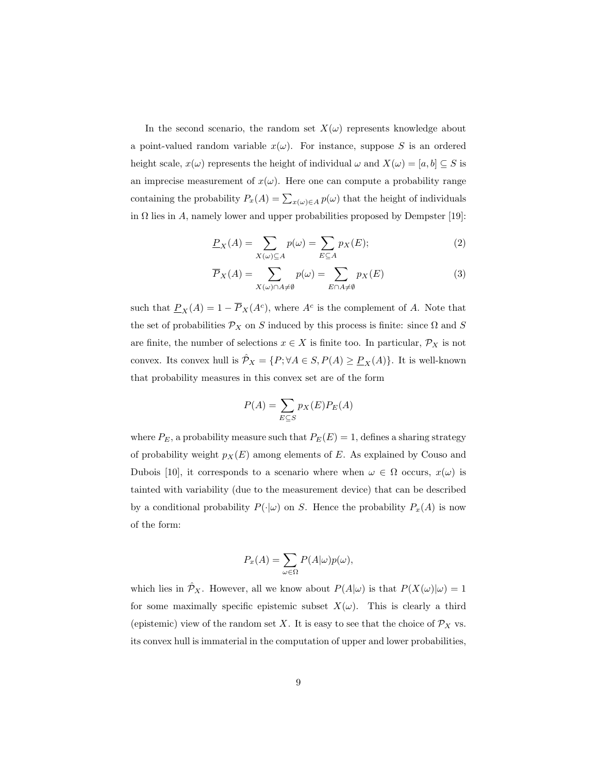In the second scenario, the random set  $X(\omega)$  represents knowledge about a point-valued random variable  $x(\omega)$ . For instance, suppose S is an ordered height scale,  $x(\omega)$  represents the height of individual  $\omega$  and  $X(\omega) = [a, b] \subseteq S$  is an imprecise measurement of  $x(\omega)$ . Here one can compute a probability range containing the probability  $P_x(A) = \sum_{x(\omega) \in A} p(\omega)$  that the height of individuals in  $\Omega$  lies in A, namely lower and upper probabilities proposed by Dempster [19]:

$$
\underline{P}_X(A) = \sum_{X(\omega)\subseteq A} p(\omega) = \sum_{E\subseteq A} p_X(E); \tag{2}
$$

$$
\overline{P}_X(A) = \sum_{X(\omega) \cap A \neq \emptyset} p(\omega) = \sum_{E \cap A \neq \emptyset} p_X(E)
$$
\n(3)

such that  $\underline{P}_X(A) = 1 - \overline{P}_X(A^c)$ , where  $A^c$  is the complement of A. Note that the set of probabilities  $\mathcal{P}_X$  on S induced by this process is finite: since  $\Omega$  and S are finite, the number of selections  $x \in X$  is finite too. In particular,  $\mathcal{P}_X$  is not convex. Its convex hull is  $\hat{\mathcal{P}}_X = \{P; \forall A \in S, P(A) \geq \underline{P}_X(A)\}.$  It is well-known that probability measures in this convex set are of the form

$$
P(A) = \sum_{E \subseteq S} p_X(E) P_E(A)
$$

where  $P_E$ , a probability measure such that  $P_E(E) = 1$ , defines a sharing strategy of probability weight  $p_X(E)$  among elements of E. As explained by Couso and Dubois [10], it corresponds to a scenario where when  $\omega \in \Omega$  occurs,  $x(\omega)$  is tainted with variability (due to the measurement device) that can be described by a conditional probability  $P(\cdot|\omega)$  on S. Hence the probability  $P_x(A)$  is now of the form:

$$
P_x(A) = \sum_{\omega \in \Omega} P(A|\omega) p(\omega),
$$

which lies in  $\hat{\mathcal{P}}_X$ . However, all we know about  $P(A|\omega)$  is that  $P(X(\omega)|\omega) = 1$ for some maximally specific epistemic subset  $X(\omega)$ . This is clearly a third (epistemic) view of the random set X. It is easy to see that the choice of  $\mathcal{P}_X$  vs. its convex hull is immaterial in the computation of upper and lower probabilities,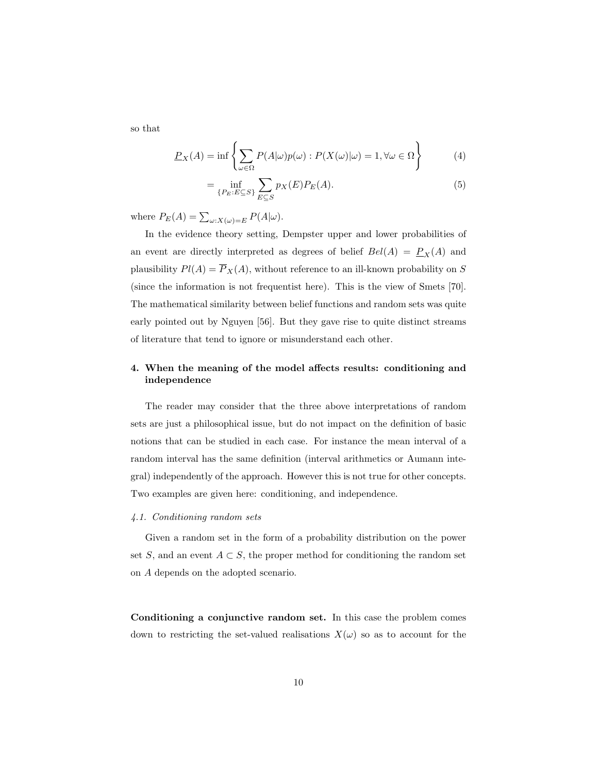so that

$$
\underline{P}_X(A) = \inf \left\{ \sum_{\omega \in \Omega} P(A|\omega) p(\omega) : P(X(\omega)|\omega) = 1, \forall \omega \in \Omega \right\}
$$
 (4)

$$
= \inf_{\{P_E : E \subseteq S\}} \sum_{E \subseteq S} p_X(E) P_E(A). \tag{5}
$$

where  $P_E(A) = \sum_{\omega: X(\omega)=E} P(A|\omega)$ .

In the evidence theory setting, Dempster upper and lower probabilities of an event are directly interpreted as degrees of belief  $Bel(A) = P_X(A)$  and plausibility  $Pl(A) = \overline{P}_X(A)$ , without reference to an ill-known probability on S (since the information is not frequentist here). This is the view of Smets [70]. The mathematical similarity between belief functions and random sets was quite early pointed out by Nguyen [56]. But they gave rise to quite distinct streams of literature that tend to ignore or misunderstand each other.

# 4. When the meaning of the model affects results: conditioning and independence

The reader may consider that the three above interpretations of random sets are just a philosophical issue, but do not impact on the definition of basic notions that can be studied in each case. For instance the mean interval of a random interval has the same definition (interval arithmetics or Aumann integral) independently of the approach. However this is not true for other concepts. Two examples are given here: conditioning, and independence.

#### 4.1. Conditioning random sets

Given a random set in the form of a probability distribution on the power set S, and an event  $A \subset S$ , the proper method for conditioning the random set on A depends on the adopted scenario.

Conditioning a conjunctive random set. In this case the problem comes down to restricting the set-valued realisations  $X(\omega)$  so as to account for the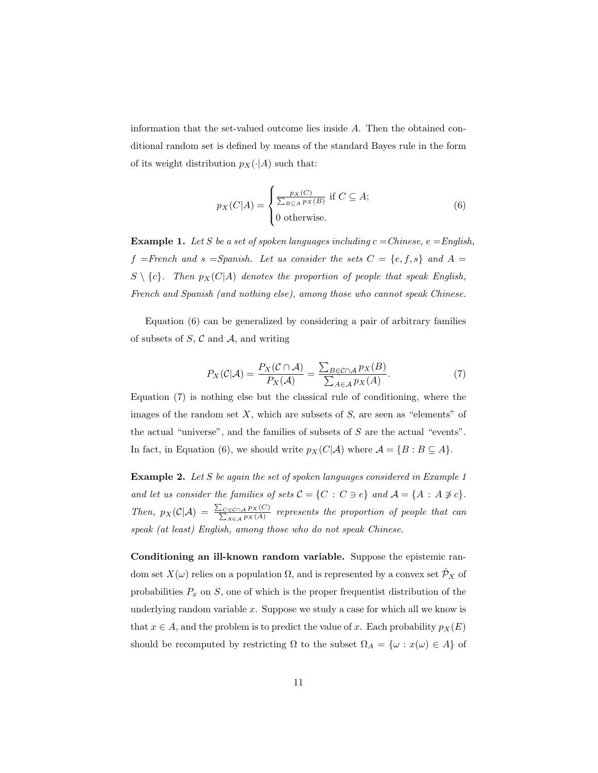information that the set-valued outcome lies inside A. Then the obtained conditional random set is defined by means of the standard Bayes rule in the form of its weight distribution  $p_X(\cdot|A)$  such that:

$$
p_X(C|A) = \begin{cases} \frac{p_X(C)}{\sum_{B \subseteq A} p_X(B)} & \text{if } C \subseteq A; \\ 0 & \text{otherwise.} \end{cases}
$$
 (6)

**Example 1.** Let S be a set of spoken languages including  $c = Chinese$ ,  $e = English$ ,  $f =$ French and  $s =$ Spanish. Let us consider the sets  $C = \{e, f, s\}$  and  $A =$  $S \setminus \{c\}$ . Then  $p_X(C|A)$  denotes the proportion of people that speak English, French and Spanish (and nothing else), among those who cannot speak Chinese.

Equation (6) can be generalized by considering a pair of arbitrary families of subsets of  $S, C$  and  $A$ , and writing

$$
P_X(\mathcal{C}|\mathcal{A}) = \frac{P_X(\mathcal{C} \cap \mathcal{A})}{P_X(\mathcal{A})} = \frac{\sum_{B \in \mathcal{C} \cap \mathcal{A}} p_X(B)}{\sum_{A \in \mathcal{A}} p_X(A)}.
$$
(7)

Equation (7) is nothing else but the classical rule of conditioning, where the images of the random set  $X$ , which are subsets of  $S$ , are seen as "elements" of the actual "universe", and the families of subsets of S are the actual "events". In fact, in Equation (6), we should write  $p_X(C|\mathcal{A})$  where  $\mathcal{A} = \{B : B \subseteq A\}.$ 

**Example 2.** Let  $S$  be again the set of spoken languages considered in Example 1 and let us consider the families of sets  $C = \{C : C \ni e\}$  and  $\mathcal{A} = \{A : A \not\supseteq c\}.$ Then,  $p_X(C|\mathcal{A}) = \frac{\sum_{C \in C \cap \mathcal{A}} p_X(C)}{\sum_{A \in \mathcal{A}} p_X(A)}$  represents the proportion of people that can speak (at least) English, among those who do not speak Chinese.

Conditioning an ill-known random variable. Suppose the epistemic random set  $X(\omega)$  relies on a population  $\Omega$ , and is represented by a convex set  $\mathcal{P}_X$  of probabilities  $P_x$  on  $S$ , one of which is the proper frequentist distribution of the underlying random variable  $x$ . Suppose we study a case for which all we know is that  $x \in A$ , and the problem is to predict the value of x. Each probability  $p_X(E)$ should be recomputed by restricting  $\Omega$  to the subset  $\Omega_A = {\omega : x(\omega) \in A}$  of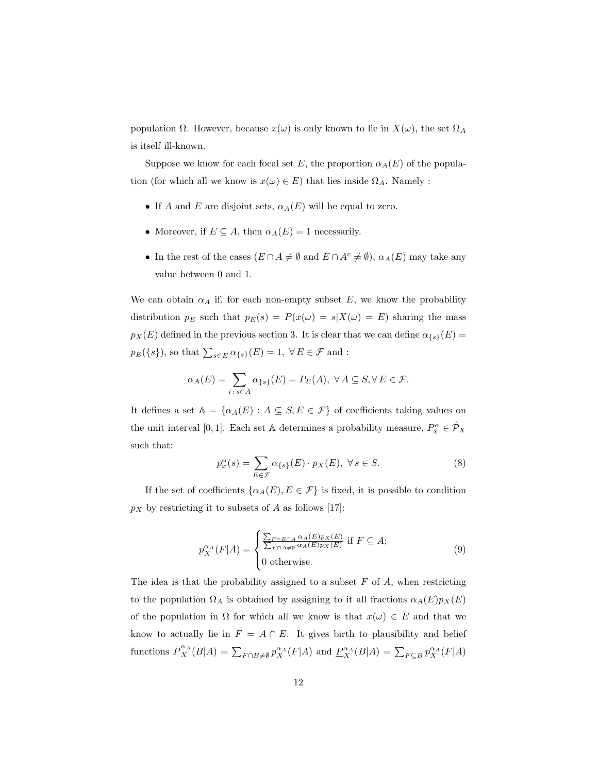population Ω. However, because  $x(\omega)$  is only known to lie in  $X(\omega)$ , the set  $Ω<sub>A</sub>$ is itself ill-known.

Suppose we know for each focal set E, the proportion  $\alpha_A(E)$  of the population (for which all we know is  $x(\omega) \in E$ ) that lies inside  $\Omega_A$ . Namely :

- If A and E are disjoint sets,  $\alpha_A(E)$  will be equal to zero.
- Moreover, if  $E \subseteq A$ , then  $\alpha_A(E) = 1$  necessarily.
- In the rest of the cases  $(E \cap A \neq \emptyset)$  and  $E \cap A^c \neq \emptyset$ ,  $\alpha_A(E)$  may take any value between 0 and 1.

We can obtain  $\alpha_A$  if, for each non-empty subset E, we know the probability distribution  $p_E$  such that  $p_E(s) = P(x(\omega) = s | X(\omega) = E)$  sharing the mass  $p_X(E)$  defined in the previous section 3. It is clear that we can define  $\alpha_{\{s\}}(E)$  =  $p_E({s})$ , so that  $\sum_{s\in E} \alpha_{\{s\}}(E) = 1, \ \forall E \in \mathcal{F}$  and :

$$
\alpha_A(E) = \sum_{i \colon s \in A} \alpha_{\{s\}}(E) = P_E(A), \ \forall A \subseteq S, \forall E \in \mathcal{F}.
$$

It defines a set  $A = {\alpha_A(E) : A \subseteq S, E \in \mathcal{F}}$  of coefficients taking values on the unit interval [0, 1]. Each set A determines a probability measure,  $P_x^{\alpha} \in \hat{\mathcal{P}}_X$ such that:

$$
p_x^{\alpha}(s) = \sum_{E \in \mathcal{F}} \alpha_{\{s\}}(E) \cdot p_X(E), \ \forall \, s \in S. \tag{8}
$$

If the set of coefficients  $\{\alpha_A(E), E \in \mathcal{F}\}\$ is fixed, it is possible to condition  $p_X$  by restricting it to subsets of A as follows [17]:

$$
p_X^{\alpha_A}(F|A) = \begin{cases} \frac{\sum_{F=E \cap A} \alpha_A(E) p_X(E)}{\sum_{E \cap A \neq \emptyset} \alpha_A(E) p_X(E)} & \text{if } F \subseteq A; \\ 0 & \text{otherwise.} \end{cases}
$$
(9)

The idea is that the probability assigned to a subset  $F$  of  $A$ , when restricting to the population  $\Omega_A$  is obtained by assigning to it all fractions  $\alpha_A(E)p_X(E)$ of the population in  $\Omega$  for which all we know is that  $x(\omega) \in E$  and that we know to actually lie in  $F = A \cap E$ . It gives birth to plausibility and belief functions  $\overline{P}_{X}^{\alpha_{A}}(B|A) = \sum_{F \cap B \neq \emptyset} p_{X}^{\alpha_{A}}(F|A)$  and  $\underline{P}_{X}^{\alpha_{A}}(B|A) = \sum_{F \subseteq B} p_{X}^{\alpha_{A}}(F|A)$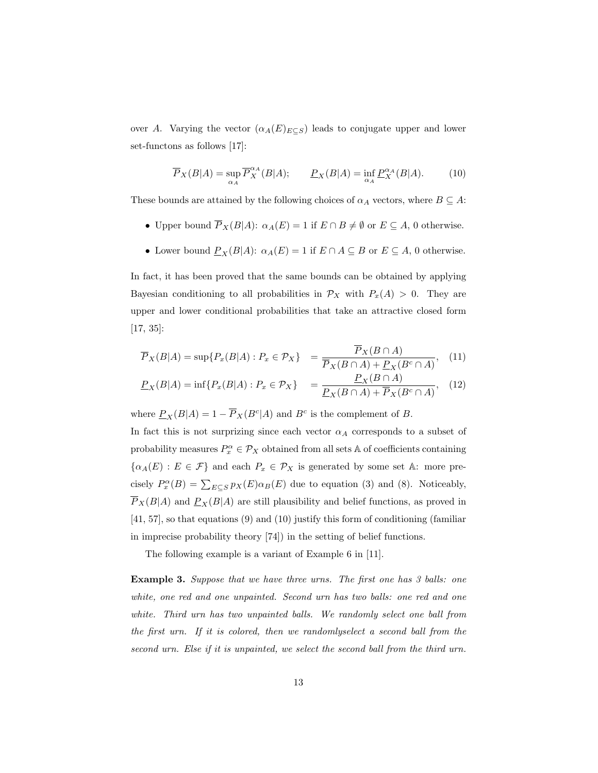over A. Varying the vector  $(\alpha_A(E)_{E\subseteq S})$  leads to conjugate upper and lower set-functons as follows [17]:

$$
\overline{P}_X(B|A) = \sup_{\alpha_A} \overline{P}_X^{\alpha_A}(B|A); \qquad \underline{P}_X(B|A) = \inf_{\alpha_A} \underline{P}_X^{\alpha_A}(B|A). \tag{10}
$$

These bounds are attained by the following choices of  $\alpha_A$  vectors, where  $B \subseteq A$ :

- Upper bound  $\overline{P}_X(B|A)$ :  $\alpha_A(E) = 1$  if  $E \cap B \neq \emptyset$  or  $E \subseteq A$ , 0 otherwise.
- Lower bound  $\underline{P}_X(B|A)$ :  $\alpha_A(E) = 1$  if  $E \cap A \subseteq B$  or  $E \subseteq A$ , 0 otherwise.

In fact, it has been proved that the same bounds can be obtained by applying Bayesian conditioning to all probabilities in  $\mathcal{P}_X$  with  $P_x(A) > 0$ . They are upper and lower conditional probabilities that take an attractive closed form [17, 35]:

$$
\overline{P}_X(B|A) = \sup \{ P_x(B|A) : P_x \in \mathcal{P}_X \} = \frac{\overline{P}_X(B \cap A)}{\overline{P}_X(B \cap A) + \underline{P}_X(B^c \cap A)}, \quad (11)
$$

$$
\underline{P}_X(B|A) = \inf \{ P_x(B|A) : P_x \in \mathcal{P}_X \} = \frac{\underline{P}_X(B \cap A)}{\underline{P}_X(B \cap A) + \overline{P}_X(B^c \cap A)}, \quad (12)
$$

where  $\underline{P}_X(B|A) = 1 - \overline{P}_X(B^c|A)$  and  $B^c$  is the complement of B.

In fact this is not surprizing since each vector  $\alpha_A$  corresponds to a subset of probability measures  $P_x^{\alpha} \in \mathcal{P}_X$  obtained from all sets A of coefficients containing  $\{\alpha_A(E) : E \in \mathcal{F}\}\$ and each  $P_x \in \mathcal{P}_X$  is generated by some set A: more precisely  $P_x^{\alpha}(B) = \sum_{E \subseteq S} p_X(E) \alpha_B(E)$  due to equation (3) and (8). Noticeably,  $\overline{P}_X(B|A)$  and  $\underline{P}_X(B|A)$  are still plausibility and belief functions, as proved in [41, 57], so that equations (9) and (10) justify this form of conditioning (familiar in imprecise probability theory [74]) in the setting of belief functions.

The following example is a variant of Example 6 in [11].

Example 3. Suppose that we have three urns. The first one has 3 balls: one white, one red and one unpainted. Second urn has two balls: one red and one white. Third urn has two unpainted balls. We randomly select one ball from the first urn. If it is colored, then we randomlyselect a second ball from the second urn. Else if it is unpainted, we select the second ball from the third urn.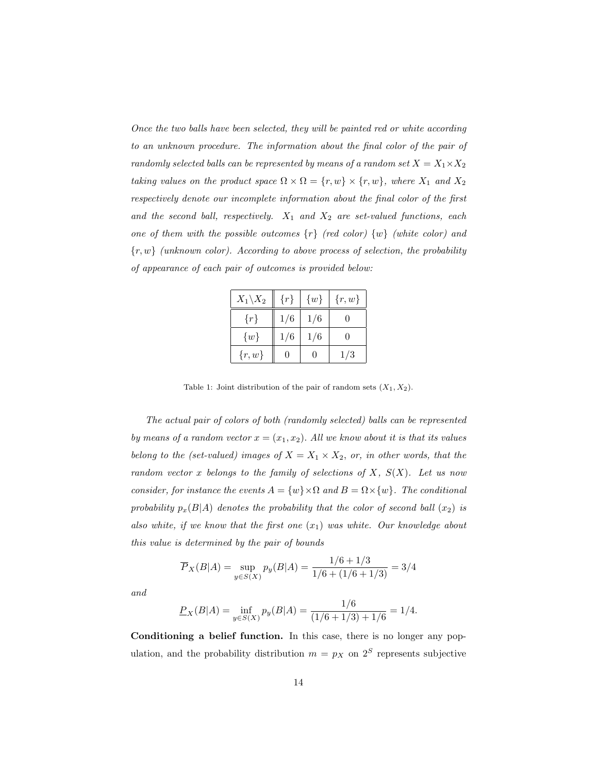Once the two balls have been selected, they will be painted red or white according to an unknown procedure. The information about the final color of the pair of randomly selected balls can be represented by means of a random set  $X = X_1 \times X_2$ taking values on the product space  $\Omega \times \Omega = \{r, w\} \times \{r, w\}$ , where  $X_1$  and  $X_2$ respectively denote our incomplete information about the final color of the first and the second ball, respectively.  $X_1$  and  $X_2$  are set-valued functions, each one of them with the possible outcomes  $\{r\}$  (red color)  $\{w\}$  (white color) and  ${r, w}$  (unknown color). According to above process of selection, the probability of appearance of each pair of outcomes is provided below:

| $X_1\backslash X_2$ | $\{r\}$  | $\{w\}$ | $\{r,w\}$         |
|---------------------|----------|---------|-------------------|
| $\{r\}$             | 1/6      | 1/6     | $\mathbf{\Omega}$ |
| $\{w\}$             | 1/6      | 1/6     | $\mathbf{0}$      |
| $\{r,w\}$           | $\theta$ |         | 1/3               |

Table 1: Joint distribution of the pair of random sets  $(X_1, X_2)$ .

The actual pair of colors of both (randomly selected) balls can be represented by means of a random vector  $x = (x_1, x_2)$ . All we know about it is that its values belong to the (set-valued) images of  $X = X_1 \times X_2$ , or, in other words, that the random vector x belongs to the family of selections of X,  $S(X)$ . Let us now consider, for instance the events  $A = \{w\} \times \Omega$  and  $B = \Omega \times \{w\}$ . The conditional probability  $p_x(B|A)$  denotes the probability that the color of second ball  $(x_2)$  is also white, if we know that the first one  $(x_1)$  was white. Our knowledge about this value is determined by the pair of bounds

$$
\overline{P}_X(B|A) = \sup_{y \in S(X)} p_y(B|A) = \frac{1/6 + 1/3}{1/6 + (1/6 + 1/3)} = 3/4
$$

and

$$
\underline{P}_X(B|A) = \inf_{y \in S(X)} p_y(B|A) = \frac{1/6}{(1/6 + 1/3) + 1/6} = 1/4.
$$

Conditioning a belief function. In this case, there is no longer any population, and the probability distribution  $m = p_X$  on  $2^S$  represents subjective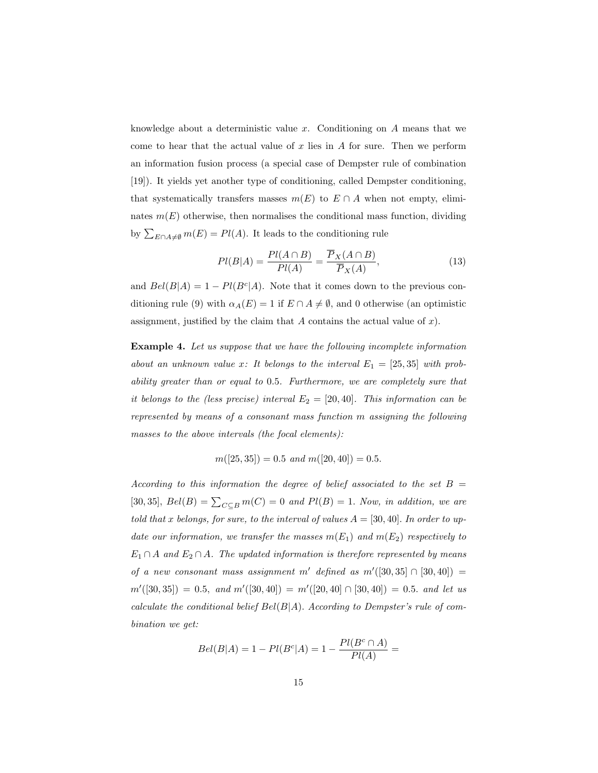knowledge about a deterministic value x. Conditioning on A means that we come to hear that the actual value of x lies in  $A$  for sure. Then we perform an information fusion process (a special case of Dempster rule of combination [19]). It yields yet another type of conditioning, called Dempster conditioning, that systematically transfers masses  $m(E)$  to  $E \cap A$  when not empty, eliminates  $m(E)$  otherwise, then normalises the conditional mass function, dividing by  $\sum_{E \cap A \neq \emptyset} m(E) = Pl(A)$ . It leads to the conditioning rule

$$
Pl(B|A) = \frac{Pl(A \cap B)}{Pl(A)} = \frac{\overline{P}_X(A \cap B)}{\overline{P}_X(A)},
$$
\n(13)

and  $Bel(B|A) = 1 - Pl(B<sup>c</sup>|A)$ . Note that it comes down to the previous conditioning rule (9) with  $\alpha_A(E) = 1$  if  $E \cap A \neq \emptyset$ , and 0 otherwise (an optimistic assignment, justified by the claim that  $A$  contains the actual value of  $x$ ).

Example 4. Let us suppose that we have the following incomplete information about an unknown value x: It belongs to the interval  $E_1 = [25, 35]$  with probability greater than or equal to 0.5. Furthermore, we are completely sure that it belongs to the (less precise) interval  $E_2 = [20, 40]$ . This information can be represented by means of a consonant mass function m assigning the following masses to the above intervals (the focal elements):

$$
m([25, 35]) = 0.5
$$
 and  $m([20, 40]) = 0.5$ .

According to this information the degree of belief associated to the set  $B =$ [30, 35],  $Bel(B) = \sum_{C \subseteq B} m(C) = 0$  and  $Pl(B) = 1$ . Now, in addition, we are told that x belongs, for sure, to the interval of values  $A = [30, 40]$ . In order to update our information, we transfer the masses  $m(E_1)$  and  $m(E_2)$  respectively to  $E_1 \cap A$  and  $E_2 \cap A$ . The updated information is therefore represented by means of a new consonant mass assignment m' defined as  $m'([30, 35] \cap [30, 40]) =$  $m'([30, 35]) = 0.5$ , and  $m'([30, 40]) = m'([20, 40] \cap [30, 40]) = 0.5$ . and let us calculate the conditional belief  $Bel(B|A)$ . According to Dempster's rule of combination we get:

$$
Bel(B|A) = 1 - Pl(Bc|A) = 1 - \frac{Pl(Bc \cap A)}{Pl(A)} =
$$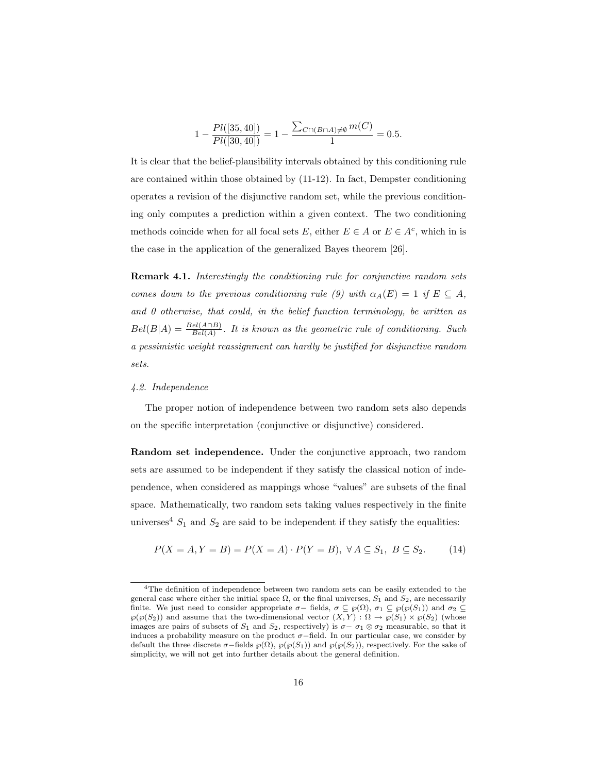$$
1 - \frac{Pl([35, 40])}{Pl([30, 40])} = 1 - \frac{\sum_{C \cap (B \cap A) \neq \emptyset} m(C)}{1} = 0.5.
$$

It is clear that the belief-plausibility intervals obtained by this conditioning rule are contained within those obtained by (11-12). In fact, Dempster conditioning operates a revision of the disjunctive random set, while the previous conditioning only computes a prediction within a given context. The two conditioning methods coincide when for all focal sets E, either  $E \in A$  or  $E \in A^c$ , which in is the case in the application of the generalized Bayes theorem [26].

Remark 4.1. Interestingly the conditioning rule for conjunctive random sets comes down to the previous conditioning rule (9) with  $\alpha_A(E) = 1$  if  $E \subseteq A$ , and 0 otherwise, that could, in the belief function terminology, be written as  $Bel(B|A) = \frac{Bel(A \cap B)}{Bel(A)}$ . It is known as the geometric rule of conditioning. Such a pessimistic weight reassignment can hardly be justified for disjunctive random sets.

# 4.2. Independence

The proper notion of independence between two random sets also depends on the specific interpretation (conjunctive or disjunctive) considered.

Random set independence. Under the conjunctive approach, two random sets are assumed to be independent if they satisfy the classical notion of independence, when considered as mappings whose "values" are subsets of the final space. Mathematically, two random sets taking values respectively in the finite universes<sup>4</sup>  $S_1$  and  $S_2$  are said to be independent if they satisfy the equalities:

$$
P(X = A, Y = B) = P(X = A) \cdot P(Y = B), \ \forall A \subseteq S_1, \ B \subseteq S_2. \tag{14}
$$

<sup>4</sup>The definition of independence between two random sets can be easily extended to the general case where either the initial space  $\Omega$ , or the final universes,  $S_1$  and  $S_2$ , are necessarily finite. We just need to consider appropriate  $\sigma-$  fields,  $\sigma \subseteq \wp(\Omega)$ ,  $\sigma_1 \subseteq \wp(\wp(S_1))$  and  $\sigma_2 \subseteq$  $\wp(\wp(S_2))$  and assume that the two-dimensional vector  $(X, Y)$ :  $\Omega \to \wp(S_1) \times \wp(S_2)$  (whose images are pairs of subsets of  $S_1$  and  $S_2$ , respectively) is  $\sigma-\sigma_1\otimes\sigma_2$  measurable, so that it induces a probability measure on the product  $\sigma$ -field. In our particular case, we consider by default the three discrete  $\sigma$ -fields  $\wp(\Omega)$ ,  $\wp(\wp(S_1))$  and  $\wp(\wp(S_2))$ , respectively. For the sake of simplicity, we will not get into further details about the general definition.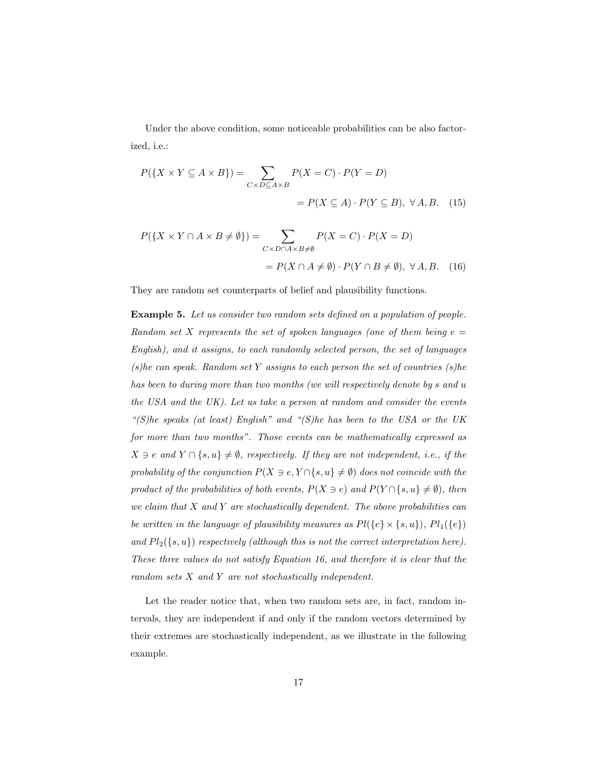Under the above condition, some noticeable probabilities can be also factorized, i.e.:

$$
P(\{X \times Y \subseteq A \times B\}) = \sum_{C \times D \subseteq A \times B} P(X = C) \cdot P(Y = D)
$$
  
=  $P(X \subseteq A) \cdot P(Y \subseteq B), \forall A, B.$  (15)

$$
P(\lbrace X \times Y \cap A \times B \neq \emptyset \rbrace) = \sum_{C \times D \cap A \times B \neq \emptyset} P(X = C) \cdot P(X = D)
$$
  
=  $P(X \cap A \neq \emptyset) \cdot P(Y \cap B \neq \emptyset), \forall A, B.$  (16)

They are random set counterparts of belief and plausibility functions.

Example 5. Let us consider two random sets defined on a population of people. Random set X represents the set of spoken languages (one of them being  $e =$ English), and it assigns, to each randomly selected person, the set of languages (s)he can speak. Random set Y assigns to each person the set of countries  $(s)$ he has been to during more than two months (we will respectively denote by s and u the USA and the UK). Let us take a person at random and consider the events "(S)he speaks (at least) English" and "(S)he has been to the USA or the UK for more than two months". Those events can be mathematically expressed as  $X \ni e$  and  $Y \cap \{s, u\} \neq \emptyset$ , respectively. If they are not independent, i.e., if the probability of the conjunction  $P(X \ni e, Y \cap \{s, u\} \neq \emptyset)$  does not coincide with the product of the probabilities of both events,  $P(X \ni e)$  and  $P(Y \cap \{s, u\} \neq \emptyset)$ , then we claim that  $X$  and  $Y$  are stochastically dependent. The above probabilities can be written in the language of plausibility measures as  $Pl({e} \times {s,u})$ ,  $Pl_1({e})$ and  $Pl_2({s, u})$  respectively (although this is not the correct interpretation here). These three values do not satisfy Equation 16, and therefore it is clear that the random sets X and Y are not stochastically independent.

Let the reader notice that, when two random sets are, in fact, random intervals, they are independent if and only if the random vectors determined by their extremes are stochastically independent, as we illustrate in the following example.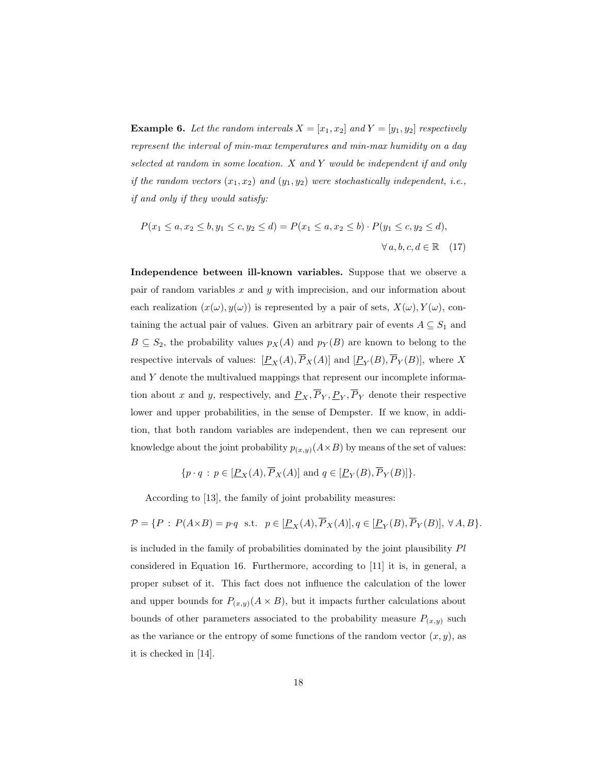**Example 6.** Let the random intervals  $X = [x_1, x_2]$  and  $Y = [y_1, y_2]$  respectively represent the interval of min-max temperatures and min-max humidity on a day selected at random in some location. X and Y would be independent if and only if the random vectors  $(x_1, x_2)$  and  $(y_1, y_2)$  were stochastically independent, i.e., if and only if they would satisfy:

$$
P(x_1 \le a, x_2 \le b, y_1 \le c, y_2 \le d) = P(x_1 \le a, x_2 \le b) \cdot P(y_1 \le c, y_2 \le d),
$$
  

$$
\forall a, b, c, d \in \mathbb{R} \quad (17)
$$

Independence between ill-known variables. Suppose that we observe a pair of random variables  $x$  and  $y$  with imprecision, and our information about each realization  $(x(\omega), y(\omega))$  is represented by a pair of sets,  $X(\omega), Y(\omega)$ , containing the actual pair of values. Given an arbitrary pair of events  $A \subseteq S_1$  and  $B \subseteq S_2$ , the probability values  $p_X(A)$  and  $p_Y(B)$  are known to belong to the respective intervals of values:  $[\underline{P}_X(A), \overline{P}_X(A)]$  and  $[\underline{P}_Y(B), \overline{P}_Y(B)]$ , where X and Y denote the multivalued mappings that represent our incomplete information about x and y, respectively, and  $\underline{P}_X, P_Y, \underline{P}_Y, P_Y$  denote their respective lower and upper probabilities, in the sense of Dempster. If we know, in addition, that both random variables are independent, then we can represent our knowledge about the joint probability  $p_{(x,y)}(A \times B)$  by means of the set of values:

$$
\{p \cdot q : p \in [\underline{P}_X(A), \overline{P}_X(A)] \text{ and } q \in [\underline{P}_Y(B), \overline{P}_Y(B)]\}.
$$

According to [13], the family of joint probability measures:

$$
\mathcal{P} = \{ P : P(A \times B) = p \cdot q \text{ s.t. } p \in [\underline{P}_X(A), \overline{P}_X(A)], q \in [\underline{P}_Y(B), \overline{P}_Y(B)], \forall A, B \}.
$$

is included in the family of probabilities dominated by the joint plausibility Pl considered in Equation 16. Furthermore, according to [11] it is, in general, a proper subset of it. This fact does not influence the calculation of the lower and upper bounds for  $P_{(x,y)}(A \times B)$ , but it impacts further calculations about bounds of other parameters associated to the probability measure  $P_{(x,y)}$  such as the variance or the entropy of some functions of the random vector  $(x, y)$ , as it is checked in [14].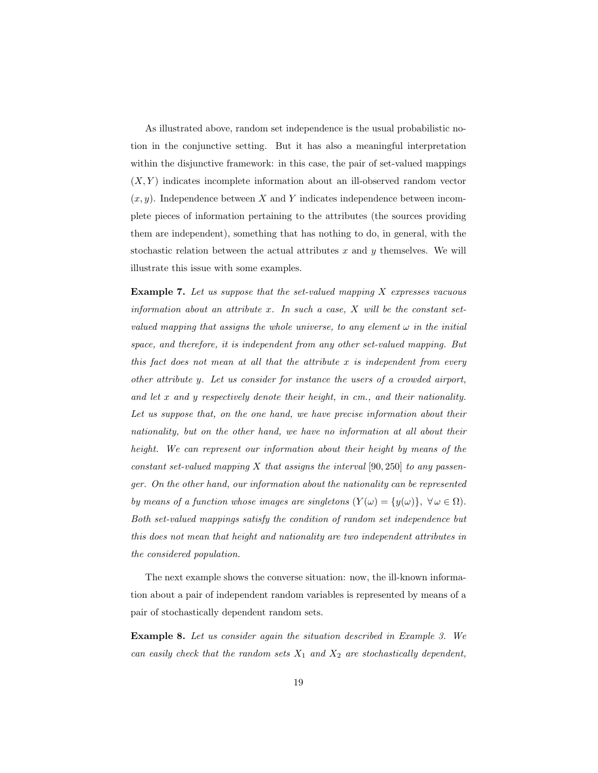As illustrated above, random set independence is the usual probabilistic notion in the conjunctive setting. But it has also a meaningful interpretation within the disjunctive framework: in this case, the pair of set-valued mappings  $(X, Y)$  indicates incomplete information about an ill-observed random vector  $(x, y)$ . Independence between X and Y indicates independence between incomplete pieces of information pertaining to the attributes (the sources providing them are independent), something that has nothing to do, in general, with the stochastic relation between the actual attributes  $x$  and  $y$  themselves. We will illustrate this issue with some examples.

Example 7. Let us suppose that the set-valued mapping X expresses vacuous information about an attribute  $x$ . In such a case,  $X$  will be the constant setvalued mapping that assigns the whole universe, to any element  $\omega$  in the initial space, and therefore, it is independent from any other set-valued mapping. But this fact does not mean at all that the attribute  $x$  is independent from every other attribute y. Let us consider for instance the users of a crowded airport, and let x and y respectively denote their height, in cm., and their nationality. Let us suppose that, on the one hand, we have precise information about their nationality, but on the other hand, we have no information at all about their height. We can represent our information about their height by means of the constant set-valued mapping  $X$  that assigns the interval [90, 250] to any passenger. On the other hand, our information about the nationality can be represented by means of a function whose images are singletons  $(Y(\omega) = \{y(\omega)\}, \forall \omega \in \Omega)$ . Both set-valued mappings satisfy the condition of random set independence but this does not mean that height and nationality are two independent attributes in the considered population.

The next example shows the converse situation: now, the ill-known information about a pair of independent random variables is represented by means of a pair of stochastically dependent random sets.

Example 8. Let us consider again the situation described in Example 3. We can easily check that the random sets  $X_1$  and  $X_2$  are stochastically dependent,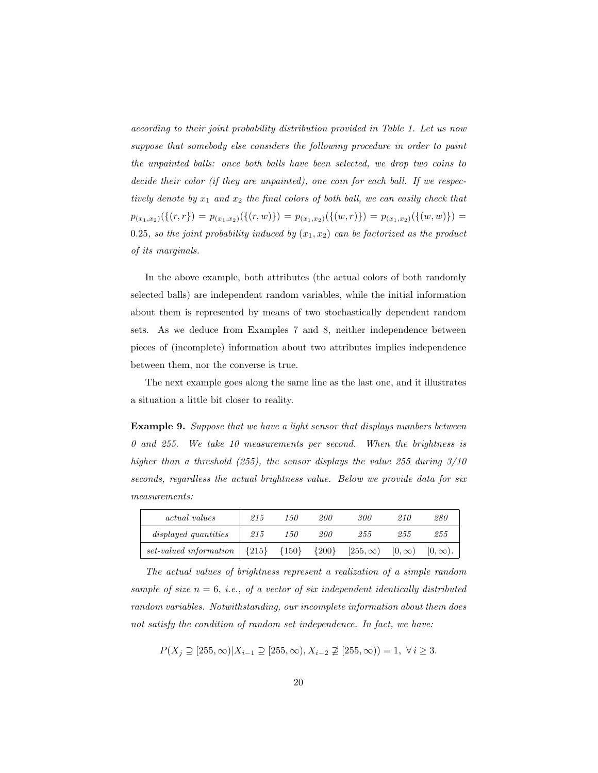according to their joint probability distribution provided in Table 1. Let us now suppose that somebody else considers the following procedure in order to paint the unpainted balls: once both balls have been selected, we drop two coins to decide their color (if they are unpainted), one coin for each ball. If we respectively denote by  $x_1$  and  $x_2$  the final colors of both ball, we can easily check that  $p_{(x_1,x_2)}(\{(r,r\}) = p_{(x_1,x_2)}(\{(r,w)\}) = p_{(x_1,x_2)}(\{(w,r)\}) = p_{(x_1,x_2)}(\{(w,w)\}) =$ 0.25, so the joint probability induced by  $(x_1, x_2)$  can be factorized as the product of its marginals.

In the above example, both attributes (the actual colors of both randomly selected balls) are independent random variables, while the initial information about them is represented by means of two stochastically dependent random sets. As we deduce from Examples 7 and 8, neither independence between pieces of (incomplete) information about two attributes implies independence between them, nor the converse is true.

The next example goes along the same line as the last one, and it illustrates a situation a little bit closer to reality.

Example 9. Suppose that we have a light sensor that displays numbers between 0 and 255. We take 10 measurements per second. When the brightness is higher than a threshold (255), the sensor displays the value 255 during 3/10 seconds, regardless the actual brightness value. Below we provide data for six measurements:

| <i>actual values</i>                                             | 215 | 150 | 200     | 300            | 210          | 280            |
|------------------------------------------------------------------|-----|-----|---------|----------------|--------------|----------------|
| displayed quantities                                             | 215 | 150 | 200     | 255            | 255          | 255            |
| set-valued information $\begin{bmatrix} 215 \end{bmatrix}$ {150} |     |     | ${200}$ | $[255,\infty)$ | $[0,\infty)$ | $[0,\infty)$ . |

The actual values of brightness represent a realization of a simple random sample of size  $n = 6$ , i.e., of a vector of six independent identically distributed random variables. Notwithstanding, our incomplete information about them does not satisfy the condition of random set independence. In fact, we have:

$$
P(X_j \supseteq [255,\infty)|X_{i-1} \supseteq [255,\infty), X_{i-2} \supseteq [255,\infty)) = 1, \ \forall i \ge 3.
$$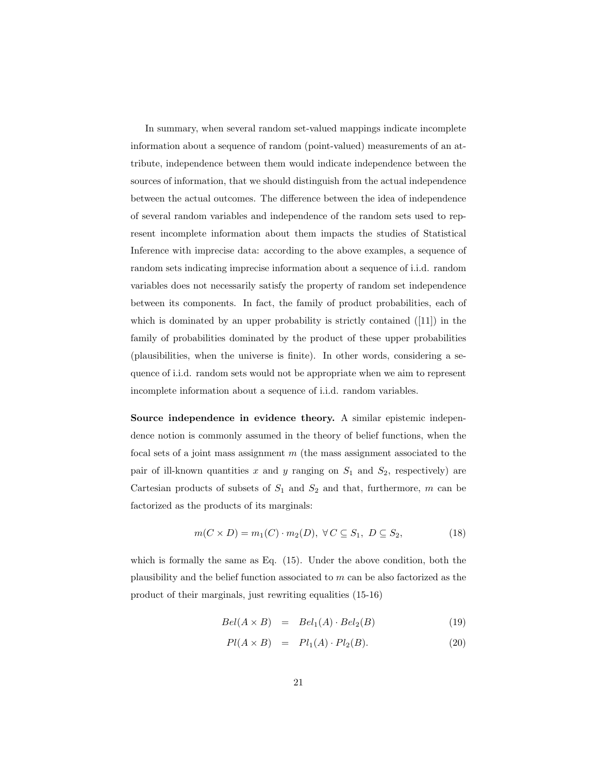In summary, when several random set-valued mappings indicate incomplete information about a sequence of random (point-valued) measurements of an attribute, independence between them would indicate independence between the sources of information, that we should distinguish from the actual independence between the actual outcomes. The difference between the idea of independence of several random variables and independence of the random sets used to represent incomplete information about them impacts the studies of Statistical Inference with imprecise data: according to the above examples, a sequence of random sets indicating imprecise information about a sequence of i.i.d. random variables does not necessarily satisfy the property of random set independence between its components. In fact, the family of product probabilities, each of which is dominated by an upper probability is strictly contained ([11]) in the family of probabilities dominated by the product of these upper probabilities (plausibilities, when the universe is finite). In other words, considering a sequence of i.i.d. random sets would not be appropriate when we aim to represent incomplete information about a sequence of i.i.d. random variables.

Source independence in evidence theory. A similar epistemic independence notion is commonly assumed in the theory of belief functions, when the focal sets of a joint mass assignment m (the mass assignment associated to the pair of ill-known quantities x and y ranging on  $S_1$  and  $S_2$ , respectively) are Cartesian products of subsets of  $S_1$  and  $S_2$  and that, furthermore, m can be factorized as the products of its marginals:

$$
m(C \times D) = m_1(C) \cdot m_2(D), \ \forall C \subseteq S_1, \ D \subseteq S_2,
$$
\n
$$
(18)
$$

which is formally the same as Eq. (15). Under the above condition, both the plausibility and the belief function associated to m can be also factorized as the product of their marginals, just rewriting equalities (15-16)

$$
Bel(A \times B) = Bel_1(A) \cdot Bel_2(B) \tag{19}
$$

$$
Pl(A \times B) = Pl_1(A) \cdot Pl_2(B). \tag{20}
$$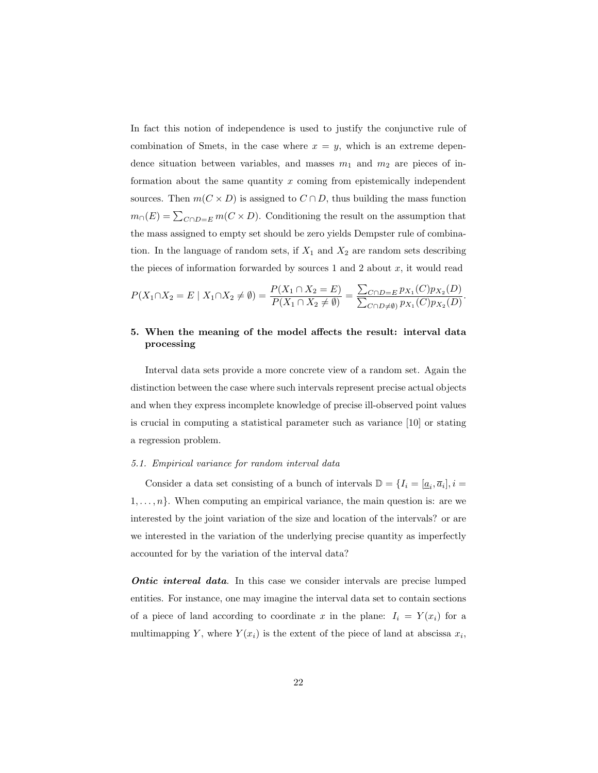In fact this notion of independence is used to justify the conjunctive rule of combination of Smets, in the case where  $x = y$ , which is an extreme dependence situation between variables, and masses  $m_1$  and  $m_2$  are pieces of information about the same quantity  $x$  coming from epistemically independent sources. Then  $m(C \times D)$  is assigned to  $C \cap D$ , thus building the mass function  $m_{\cap}(E) = \sum_{C \cap D=E} m(C \times D)$ . Conditioning the result on the assumption that the mass assigned to empty set should be zero yields Dempster rule of combination. In the language of random sets, if  $X_1$  and  $X_2$  are random sets describing the pieces of information forwarded by sources 1 and 2 about  $x$ , it would read

$$
P(X_1 \cap X_2 = E \mid X_1 \cap X_2 \neq \emptyset) = \frac{P(X_1 \cap X_2 = E)}{P(X_1 \cap X_2 \neq \emptyset)} = \frac{\sum_{C \cap D = E} p_{X_1}(C) p_{X_2}(D)}{\sum_{C \cap D \neq \emptyset} p_{X_1}(C) p_{X_2}(D)}.
$$

# 5. When the meaning of the model affects the result: interval data processing

Interval data sets provide a more concrete view of a random set. Again the distinction between the case where such intervals represent precise actual objects and when they express incomplete knowledge of precise ill-observed point values is crucial in computing a statistical parameter such as variance [10] or stating a regression problem.

#### 5.1. Empirical variance for random interval data

Consider a data set consisting of a bunch of intervals  $\mathbb{D} = \{I_i = [\underline{a}_i, \overline{a}_i], i =$  $1, \ldots, n$ . When computing an empirical variance, the main question is: are we interested by the joint variation of the size and location of the intervals? or are we interested in the variation of the underlying precise quantity as imperfectly accounted for by the variation of the interval data?

**Ontic interval data**. In this case we consider intervals are precise lumped entities. For instance, one may imagine the interval data set to contain sections of a piece of land according to coordinate x in the plane:  $I_i = Y(x_i)$  for a multimapping Y, where  $Y(x_i)$  is the extent of the piece of land at abscissa  $x_i$ ,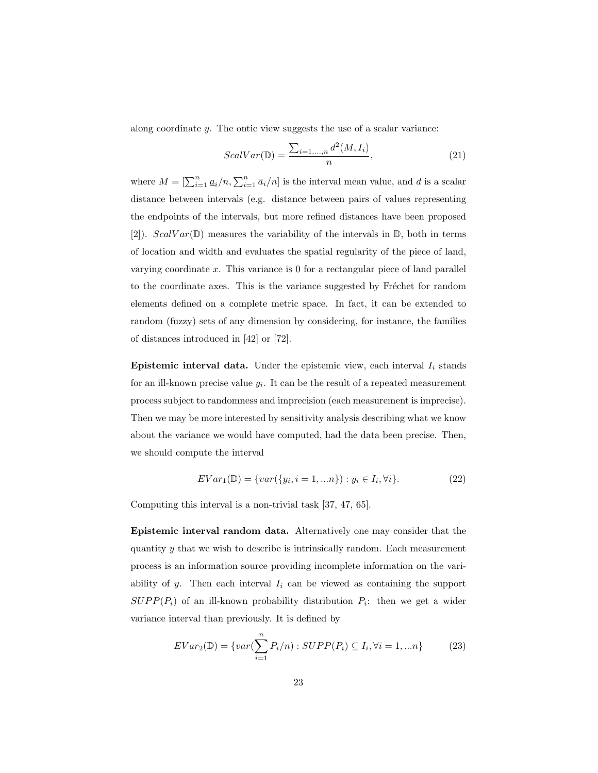along coordinate y. The ontic view suggests the use of a scalar variance:

$$
ScalVar(\mathbb{D}) = \frac{\sum_{i=1,\dots,n} d^2(M, I_i)}{n},\tag{21}
$$

where  $M = \left[\sum_{i=1}^{n} \frac{a_i}{n}, \sum_{i=1}^{n} \overline{a_i}/n\right]$  is the interval mean value, and d is a scalar distance between intervals (e.g. distance between pairs of values representing the endpoints of the intervals, but more refined distances have been proposed [2]).  $ScalVar(\mathbb{D})$  measures the variability of the intervals in  $\mathbb{D}$ , both in terms of location and width and evaluates the spatial regularity of the piece of land, varying coordinate  $x$ . This variance is 0 for a rectangular piece of land parallel to the coordinate axes. This is the variance suggested by Fréchet for random elements defined on a complete metric space. In fact, it can be extended to random (fuzzy) sets of any dimension by considering, for instance, the families of distances introduced in [42] or [72].

Epistemic interval data. Under the epistemic view, each interval  $I_i$  stands for an ill-known precise value  $y_i$ . It can be the result of a repeated measurement process subject to randomness and imprecision (each measurement is imprecise). Then we may be more interested by sensitivity analysis describing what we know about the variance we would have computed, had the data been precise. Then, we should compute the interval

$$
EVar_1(\mathbb{D}) = \{ var(\{y_i, i = 1, ...n\}) : y_i \in I_i, \forall i \}.
$$
 (22)

Computing this interval is a non-trivial task [37, 47, 65].

Epistemic interval random data. Alternatively one may consider that the quantity y that we wish to describe is intrinsically random. Each measurement process is an information source providing incomplete information on the variability of y. Then each interval  $I_i$  can be viewed as containing the support  $SUPP(P_i)$  of an ill-known probability distribution  $P_i$ : then we get a wider variance interval than previously. It is defined by

$$
EVar_2(\mathbb{D}) = \{ var(\sum_{i=1}^n P_i/n) : SUPP(P_i) \subseteq I_i, \forall i = 1,...n \}
$$
 (23)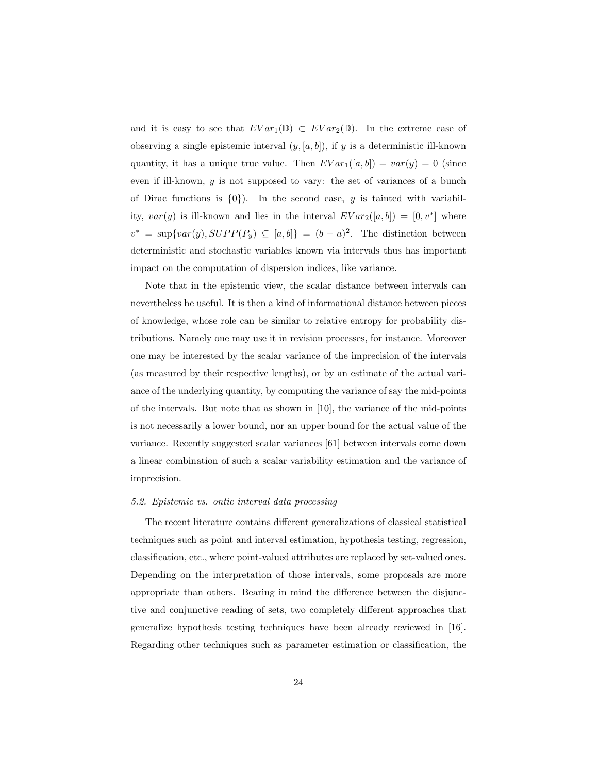and it is easy to see that  $EVar_1(\mathbb{D}) \subset EVar_2(\mathbb{D})$ . In the extreme case of observing a single epistemic interval  $(y, [a, b])$ , if y is a deterministic ill-known quantity, it has a unique true value. Then  $EVar_1([a, b]) = var(y) = 0$  (since even if ill-known, y is not supposed to vary: the set of variances of a bunch of Dirac functions is  $\{0\}$ ). In the second case, y is tainted with variability,  $var(y)$  is ill-known and lies in the interval  $EVar_2([a, b]) = [0, v^*]$  where  $v^* = \sup\{var(y), \text{SUPP}(P_y) \subseteq [a, b]\} = (b - a)^2$ . The distinction between deterministic and stochastic variables known via intervals thus has important impact on the computation of dispersion indices, like variance.

Note that in the epistemic view, the scalar distance between intervals can nevertheless be useful. It is then a kind of informational distance between pieces of knowledge, whose role can be similar to relative entropy for probability distributions. Namely one may use it in revision processes, for instance. Moreover one may be interested by the scalar variance of the imprecision of the intervals (as measured by their respective lengths), or by an estimate of the actual variance of the underlying quantity, by computing the variance of say the mid-points of the intervals. But note that as shown in [10], the variance of the mid-points is not necessarily a lower bound, nor an upper bound for the actual value of the variance. Recently suggested scalar variances [61] between intervals come down a linear combination of such a scalar variability estimation and the variance of imprecision.

#### 5.2. Epistemic vs. ontic interval data processing

The recent literature contains different generalizations of classical statistical techniques such as point and interval estimation, hypothesis testing, regression, classification, etc., where point-valued attributes are replaced by set-valued ones. Depending on the interpretation of those intervals, some proposals are more appropriate than others. Bearing in mind the difference between the disjunctive and conjunctive reading of sets, two completely different approaches that generalize hypothesis testing techniques have been already reviewed in [16]. Regarding other techniques such as parameter estimation or classification, the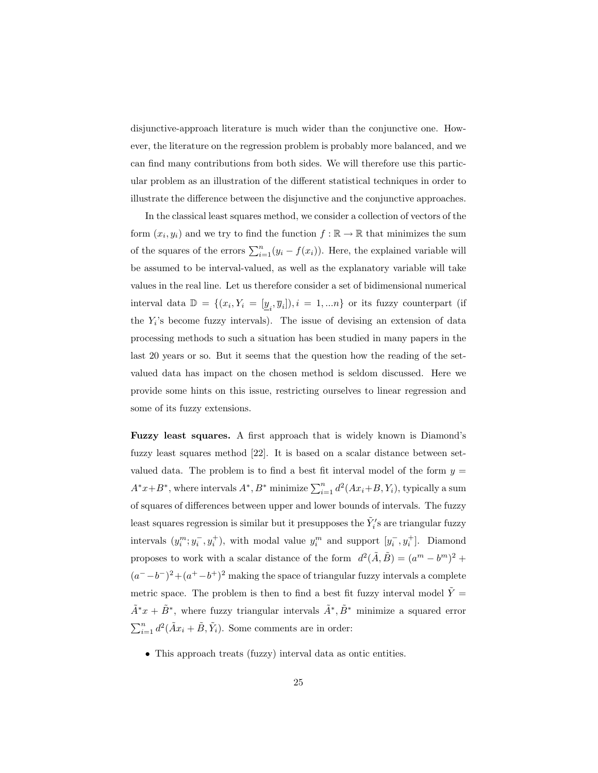disjunctive-approach literature is much wider than the conjunctive one. However, the literature on the regression problem is probably more balanced, and we can find many contributions from both sides. We will therefore use this particular problem as an illustration of the different statistical techniques in order to illustrate the difference between the disjunctive and the conjunctive approaches.

In the classical least squares method, we consider a collection of vectors of the form  $(x_i, y_i)$  and we try to find the function  $f : \mathbb{R} \to \mathbb{R}$  that minimizes the sum of the squares of the errors  $\sum_{i=1}^{n} (y_i - f(x_i))$ . Here, the explained variable will be assumed to be interval-valued, as well as the explanatory variable will take values in the real line. Let us therefore consider a set of bidimensional numerical interval data  $\mathbb{D} = \{(x_i, Y_i = [\underline{y}_i, \overline{y}_i]), i = 1, ...n\}$  or its fuzzy counterpart (if the  $Y_i$ 's become fuzzy intervals). The issue of devising an extension of data processing methods to such a situation has been studied in many papers in the last 20 years or so. But it seems that the question how the reading of the setvalued data has impact on the chosen method is seldom discussed. Here we provide some hints on this issue, restricting ourselves to linear regression and some of its fuzzy extensions.

Fuzzy least squares. A first approach that is widely known is Diamond's fuzzy least squares method [22]. It is based on a scalar distance between setvalued data. The problem is to find a best fit interval model of the form  $y =$  $A^*x+B^*$ , where intervals  $A^*, B^*$  minimize  $\sum_{i=1}^n d^2(Ax_i+B, Y_i)$ , typically a sum of squares of differences between upper and lower bounds of intervals. The fuzzy least squares regression is similar but it presupposes the  $\tilde{Y}'_i$ 's are triangular fuzzy intervals  $(y_i^m; y_i^-, y_i^+)$ , with modal value  $y_i^m$  and support  $[y_i^-, y_i^+]$ . Diamond proposes to work with a scalar distance of the form  $d^2(\tilde{A}, \tilde{B}) = (a^m - b^m)^2 +$  $(a^- - b^-)^2 + (a^+ - b^+)^2$  making the space of triangular fuzzy intervals a complete metric space. The problem is then to find a best fit fuzzy interval model  $\tilde{Y}$  =  $\tilde{A}^*x + \tilde{B}^*$ , where fuzzy triangular intervals  $\tilde{A}^*, \tilde{B}^*$  minimize a squared error  $\sum_{i=1}^{n} d^{2}(\tilde{A}x_{i} + \tilde{B}, \tilde{Y}_{i})$ . Some comments are in order:

• This approach treats (fuzzy) interval data as ontic entities.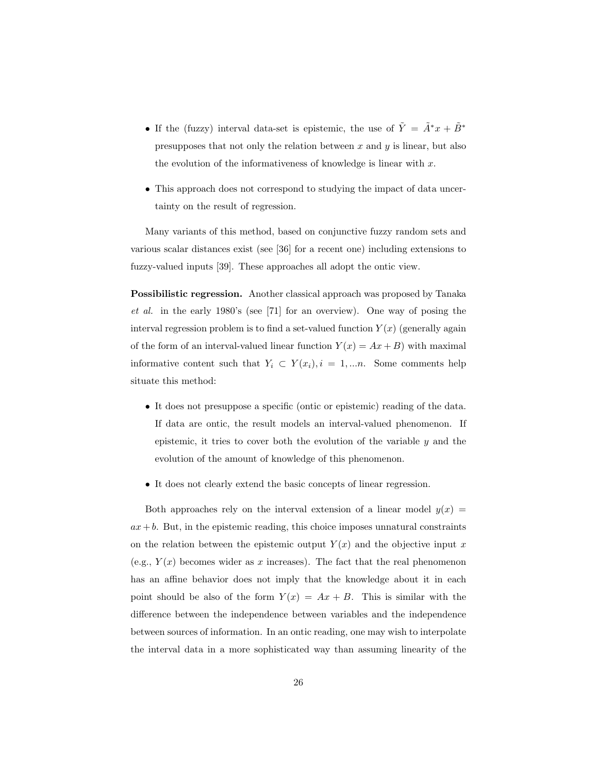- If the (fuzzy) interval data-set is epistemic, the use of  $\tilde{Y} = \tilde{A}^*x + \tilde{B}^*$ presupposes that not only the relation between  $x$  and  $y$  is linear, but also the evolution of the informativeness of knowledge is linear with  $x$ .
- This approach does not correspond to studying the impact of data uncertainty on the result of regression.

Many variants of this method, based on conjunctive fuzzy random sets and various scalar distances exist (see [36] for a recent one) including extensions to fuzzy-valued inputs [39]. These approaches all adopt the ontic view.

Possibilistic regression. Another classical approach was proposed by Tanaka et al. in the early 1980's (see [71] for an overview). One way of posing the interval regression problem is to find a set-valued function  $Y(x)$  (generally again of the form of an interval-valued linear function  $Y(x) = Ax + B$ ) with maximal informative content such that  $Y_i \subset Y(x_i), i = 1,...n$ . Some comments help situate this method:

- It does not presuppose a specific (ontic or epistemic) reading of the data. If data are ontic, the result models an interval-valued phenomenon. If epistemic, it tries to cover both the evolution of the variable  $y$  and the evolution of the amount of knowledge of this phenomenon.
- It does not clearly extend the basic concepts of linear regression.

Both approaches rely on the interval extension of a linear model  $y(x) =$  $ax + b$ . But, in the epistemic reading, this choice imposes unnatural constraints on the relation between the epistemic output  $Y(x)$  and the objective input x (e.g.,  $Y(x)$  becomes wider as x increases). The fact that the real phenomenon has an affine behavior does not imply that the knowledge about it in each point should be also of the form  $Y(x) = Ax + B$ . This is similar with the difference between the independence between variables and the independence between sources of information. In an ontic reading, one may wish to interpolate the interval data in a more sophisticated way than assuming linearity of the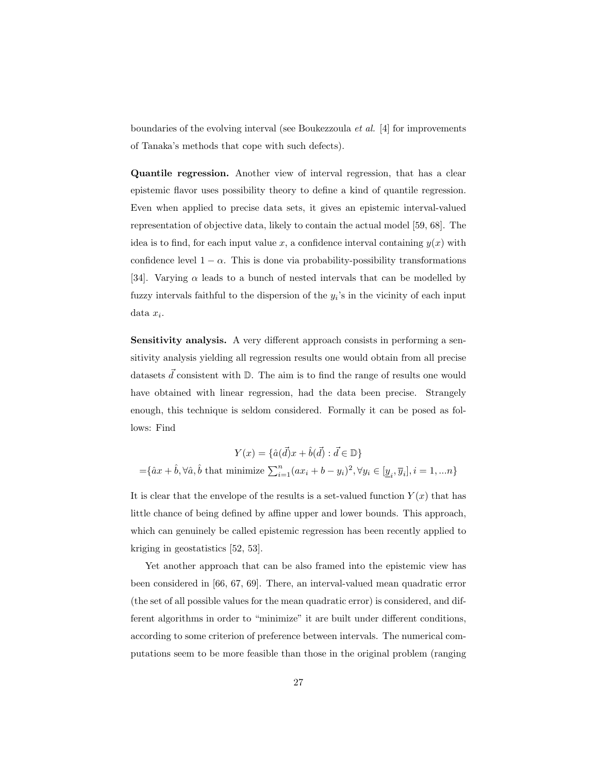boundaries of the evolving interval (see Boukezzoula et al. [4] for improvements of Tanaka's methods that cope with such defects).

Quantile regression. Another view of interval regression, that has a clear epistemic flavor uses possibility theory to define a kind of quantile regression. Even when applied to precise data sets, it gives an epistemic interval-valued representation of objective data, likely to contain the actual model [59, 68]. The idea is to find, for each input value x, a confidence interval containing  $y(x)$  with confidence level  $1 - \alpha$ . This is done via probability-possibility transformations [34]. Varying  $\alpha$  leads to a bunch of nested intervals that can be modelled by fuzzy intervals faithful to the dispersion of the  $y_i$ 's in the vicinity of each input  $data x_i$ .

Sensitivity analysis. A very different approach consists in performing a sensitivity analysis yielding all regression results one would obtain from all precise datasets  $\vec{d}$  consistent with D. The aim is to find the range of results one would have obtained with linear regression, had the data been precise. Strangely enough, this technique is seldom considered. Formally it can be posed as follows: Find

$$
\label{eq:Y} Y(x)=\{\hat{a}(\vec{d})x+\hat{b}(\vec{d}): \vec{d}\in\mathbb{D}\}
$$
  
=\{\hat{a}x+\hat{b}, \forall \hat{a}, \hat{b} \text{ that minimize } \sum\_{i=1}^n (ax\_i+b-y\_i)^2, \forall y\_i\in [\underline{y}\_i,\overline{y}\_i], i=1,...n\}

It is clear that the envelope of the results is a set-valued function  $Y(x)$  that has little chance of being defined by affine upper and lower bounds. This approach, which can genuinely be called epistemic regression has been recently applied to kriging in geostatistics [52, 53].

Yet another approach that can be also framed into the epistemic view has been considered in [66, 67, 69]. There, an interval-valued mean quadratic error (the set of all possible values for the mean quadratic error) is considered, and different algorithms in order to "minimize" it are built under different conditions, according to some criterion of preference between intervals. The numerical computations seem to be more feasible than those in the original problem (ranging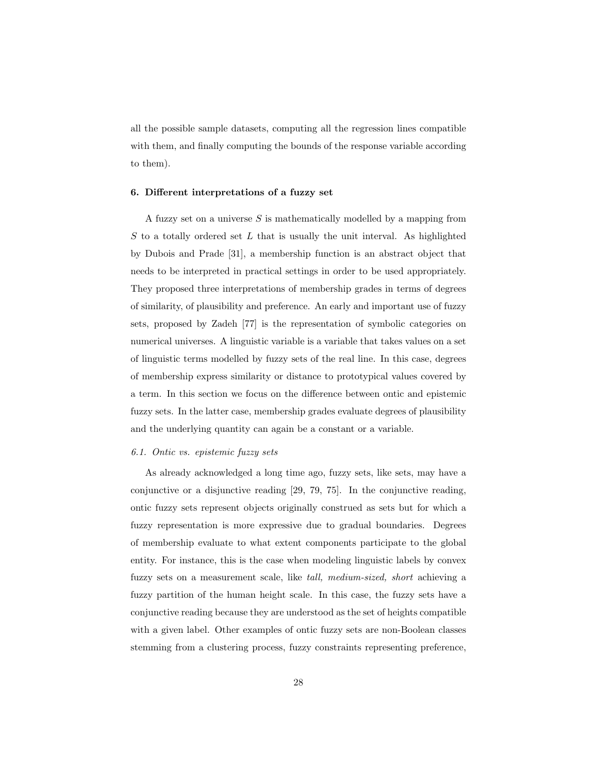all the possible sample datasets, computing all the regression lines compatible with them, and finally computing the bounds of the response variable according to them).

# 6. Different interpretations of a fuzzy set

A fuzzy set on a universe  $S$  is mathematically modelled by a mapping from  $S$  to a totally ordered set  $L$  that is usually the unit interval. As highlighted by Dubois and Prade [31], a membership function is an abstract object that needs to be interpreted in practical settings in order to be used appropriately. They proposed three interpretations of membership grades in terms of degrees of similarity, of plausibility and preference. An early and important use of fuzzy sets, proposed by Zadeh [77] is the representation of symbolic categories on numerical universes. A linguistic variable is a variable that takes values on a set of linguistic terms modelled by fuzzy sets of the real line. In this case, degrees of membership express similarity or distance to prototypical values covered by a term. In this section we focus on the difference between ontic and epistemic fuzzy sets. In the latter case, membership grades evaluate degrees of plausibility and the underlying quantity can again be a constant or a variable.

### 6.1. Ontic vs. epistemic fuzzy sets

As already acknowledged a long time ago, fuzzy sets, like sets, may have a conjunctive or a disjunctive reading [29, 79, 75]. In the conjunctive reading, ontic fuzzy sets represent objects originally construed as sets but for which a fuzzy representation is more expressive due to gradual boundaries. Degrees of membership evaluate to what extent components participate to the global entity. For instance, this is the case when modeling linguistic labels by convex fuzzy sets on a measurement scale, like tall, medium-sized, short achieving a fuzzy partition of the human height scale. In this case, the fuzzy sets have a conjunctive reading because they are understood as the set of heights compatible with a given label. Other examples of ontic fuzzy sets are non-Boolean classes stemming from a clustering process, fuzzy constraints representing preference,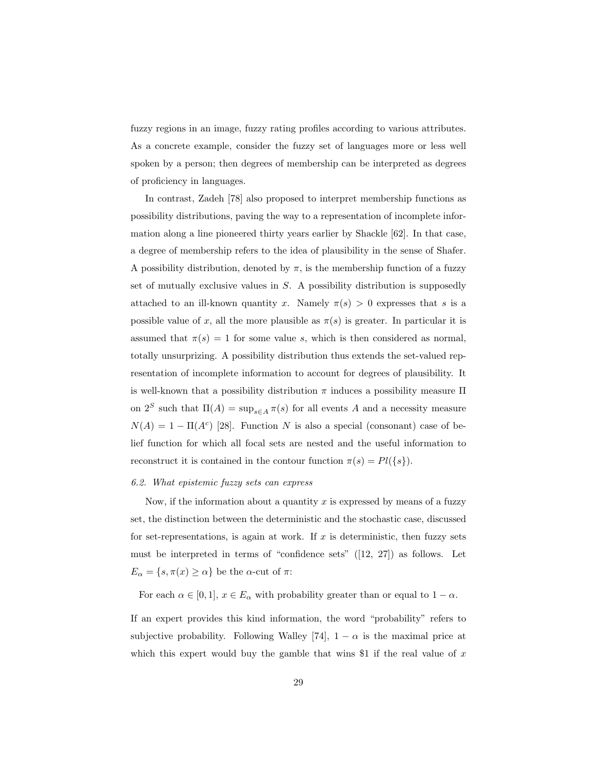fuzzy regions in an image, fuzzy rating profiles according to various attributes. As a concrete example, consider the fuzzy set of languages more or less well spoken by a person; then degrees of membership can be interpreted as degrees of proficiency in languages.

In contrast, Zadeh [78] also proposed to interpret membership functions as possibility distributions, paving the way to a representation of incomplete information along a line pioneered thirty years earlier by Shackle [62]. In that case, a degree of membership refers to the idea of plausibility in the sense of Shafer. A possibility distribution, denoted by  $\pi$ , is the membership function of a fuzzy set of mutually exclusive values in S. A possibility distribution is supposedly attached to an ill-known quantity x. Namely  $\pi(s) > 0$  expresses that s is a possible value of x, all the more plausible as  $\pi(s)$  is greater. In particular it is assumed that  $\pi(s) = 1$  for some value s, which is then considered as normal, totally unsurprizing. A possibility distribution thus extends the set-valued representation of incomplete information to account for degrees of plausibility. It is well-known that a possibility distribution  $\pi$  induces a possibility measure  $\Pi$ on  $2^S$  such that  $\Pi(A) = \sup_{s \in A} \pi(s)$  for all events A and a necessity measure  $N(A) = 1 - \Pi(A^c)$  [28]. Function N is also a special (consonant) case of belief function for which all focal sets are nested and the useful information to reconstruct it is contained in the contour function  $\pi(s) = Pl({s}).$ 

# 6.2. What epistemic fuzzy sets can express

Now, if the information about a quantity x is expressed by means of a fuzzy set, the distinction between the deterministic and the stochastic case, discussed for set-representations, is again at work. If  $x$  is deterministic, then fuzzy sets must be interpreted in terms of "confidence sets" ([12, 27]) as follows. Let  $E_\alpha = \{s, \pi(x) \geq \alpha\}$  be the  $\alpha\text{-cut}$  of  $\pi\text{:}$ 

For each  $\alpha \in [0,1], x \in E_\alpha$  with probability greater than or equal to  $1 - \alpha$ .

If an expert provides this kind information, the word "probability" refers to subjective probability. Following Walley [74],  $1 - \alpha$  is the maximal price at which this expert would buy the gamble that wins \$1 if the real value of  $x$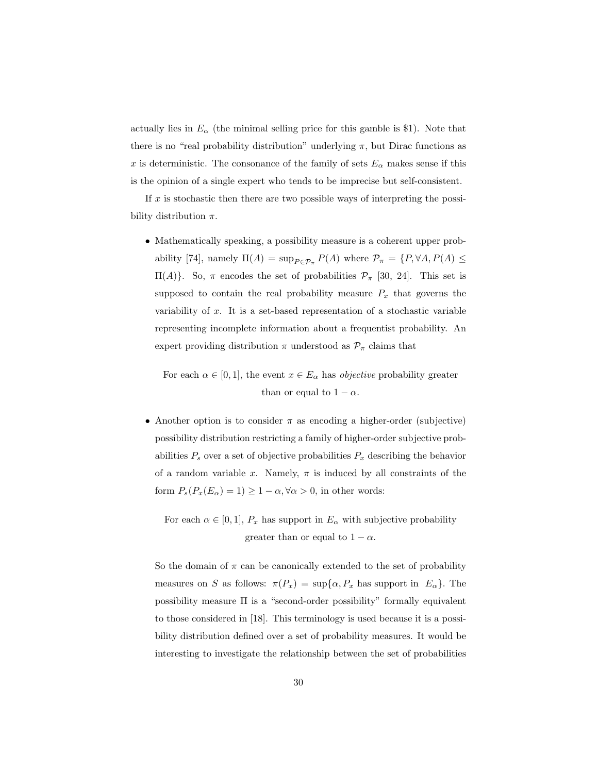actually lies in  $E_{\alpha}$  (the minimal selling price for this gamble is \$1). Note that there is no "real probability distribution" underlying  $\pi$ , but Dirac functions as x is deterministic. The consonance of the family of sets  $E_{\alpha}$  makes sense if this is the opinion of a single expert who tends to be imprecise but self-consistent.

If  $x$  is stochastic then there are two possible ways of interpreting the possibility distribution  $\pi$ .

• Mathematically speaking, a possibility measure is a coherent upper probability [74], namely  $\Pi(A) = \sup_{P \in \mathcal{P}_{\pi}} P(A)$  where  $\mathcal{P}_{\pi} = \{P, \forall A, P(A) \leq$ Π(A)}. So, π encodes the set of probabilities  $\mathcal{P}_\pi$  [30, 24]. This set is supposed to contain the real probability measure  $P_x$  that governs the variability of  $x$ . It is a set-based representation of a stochastic variable representing incomplete information about a frequentist probability. An expert providing distribution  $\pi$  understood as  $\mathcal{P}_{\pi}$  claims that

For each  $\alpha \in [0,1]$ , the event  $x \in E_{\alpha}$  has *objective* probability greater than or equal to  $1 - \alpha$ .

• Another option is to consider  $\pi$  as encoding a higher-order (subjective) possibility distribution restricting a family of higher-order subjective probabilities  $P_s$  over a set of objective probabilities  $P_x$  describing the behavior of a random variable x. Namely,  $\pi$  is induced by all constraints of the form  $P_s(P_x(E_\alpha) = 1) \ge 1 - \alpha, \forall \alpha > 0$ , in other words:

For each  $\alpha \in [0,1], P_x$  has support in  $E_{\alpha}$  with subjective probability greater than or equal to  $1 - \alpha$ .

So the domain of  $\pi$  can be canonically extended to the set of probability measures on S as follows:  $\pi(P_x) = \sup\{\alpha, P_x \text{ has support in } E_{\alpha}\}.$  The possibility measure Π is a "second-order possibility" formally equivalent to those considered in [18]. This terminology is used because it is a possibility distribution defined over a set of probability measures. It would be interesting to investigate the relationship between the set of probabilities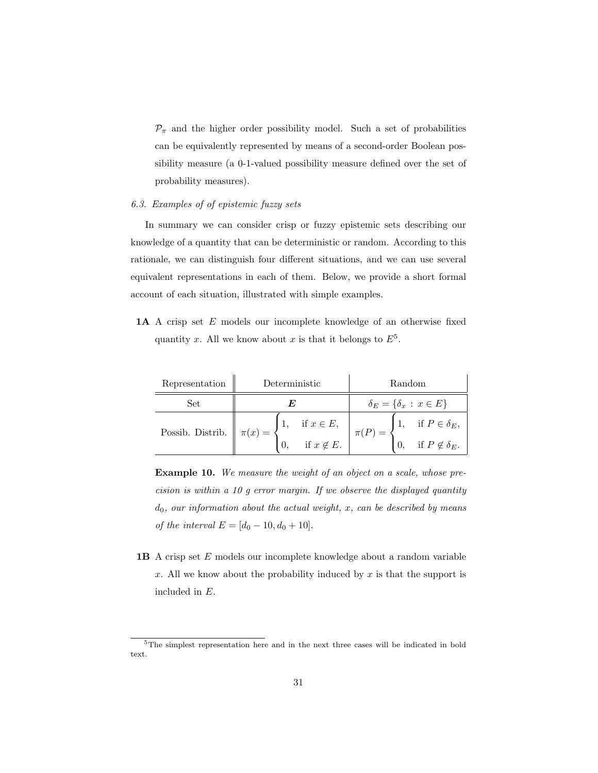$\mathcal{P}_{\pi}$  and the higher order possibility model. Such a set of probabilities can be equivalently represented by means of a second-order Boolean possibility measure (a 0-1-valued possibility measure defined over the set of probability measures).

# 6.3. Examples of of epistemic fuzzy sets

In summary we can consider crisp or fuzzy epistemic sets describing our knowledge of a quantity that can be deterministic or random. According to this rationale, we can distinguish four different situations, and we can use several equivalent representations in each of them. Below, we provide a short formal account of each situation, illustrated with simple examples.

1A A crisp set E models our incomplete knowledge of an otherwise fixed quantity x. All we know about x is that it belongs to  $E^5$ .

| Representation                               | Deterministic                                      | Random                                                                                                                     |  |  |
|----------------------------------------------|----------------------------------------------------|----------------------------------------------------------------------------------------------------------------------------|--|--|
| Set                                          |                                                    | $\delta_E = \{\delta_x : x \in E\}$                                                                                        |  |  |
| Possib. Distrib. $\parallel \pi(x) = \infty$ |                                                    | $\begin{cases} 1, & \text{if } x \in E, \\ \pi(P) = \begin{cases} 1, & \text{if } P \in \delta_E, \end{cases} \end{cases}$ |  |  |
|                                              | $\mathbf{1} \cdot 0, \quad \text{if } x \notin E.$ | 0, if $P \notin \delta_E$ .                                                                                                |  |  |

Example 10. We measure the weight of an object on a scale, whose precision is within a 10 g error margin. If we observe the displayed quantity  $d_0$ , our information about the actual weight, x, can be described by means of the interval  $E = [d_0 - 10, d_0 + 10].$ 

1B A crisp set E models our incomplete knowledge about a random variable x. All we know about the probability induced by  $x$  is that the support is included in E.

<sup>5</sup>The simplest representation here and in the next three cases will be indicated in bold text.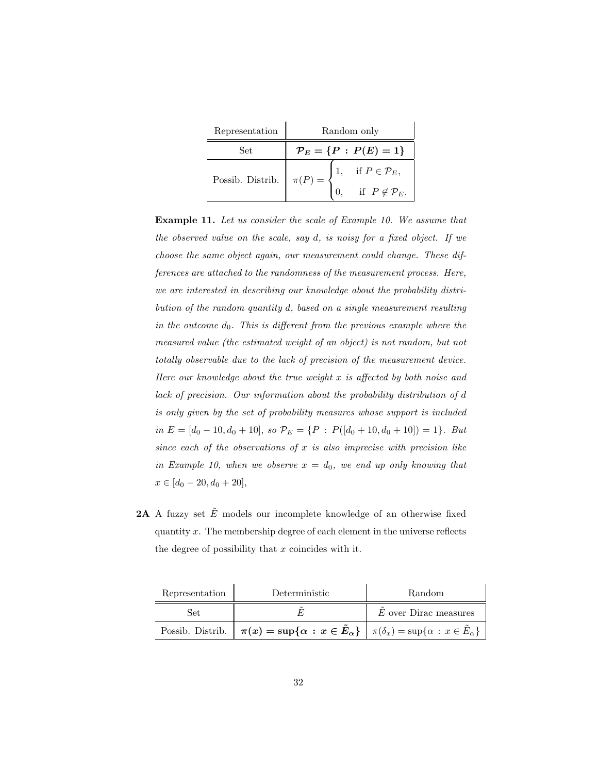| Representation                        | Random only                                                       |  |
|---------------------------------------|-------------------------------------------------------------------|--|
| Set                                   | $P_E = \{P : P(E) = 1\}$                                          |  |
| Possib. Distrib. $\parallel \pi(P) =$ | 1, if $P \in \mathcal{P}_E$ ,<br>0, if $P \notin \mathcal{P}_E$ . |  |

Example 11. Let us consider the scale of Example 10. We assume that the observed value on the scale, say d, is noisy for a fixed object. If we choose the same object again, our measurement could change. These differences are attached to the randomness of the measurement process. Here, we are interested in describing our knowledge about the probability distribution of the random quantity d, based on a single measurement resulting in the outcome  $d_0$ . This is different from the previous example where the measured value (the estimated weight of an object) is not random, but not totally observable due to the lack of precision of the measurement device. Here our knowledge about the true weight  $x$  is affected by both noise and lack of precision. Our information about the probability distribution of d is only given by the set of probability measures whose support is included  $in E = [d_0 - 10, d_0 + 10], so P_E = \{P : P([d_0 + 10, d_0 + 10]) = 1\}.$  But since each of the observations of  $x$  is also imprecise with precision like in Example 10, when we observe  $x = d_0$ , we end up only knowing that  $x \in [d_0 - 20, d_0 + 20],$ 

**2A** A fuzzy set  $\tilde{E}$  models our incomplete knowledge of an otherwise fixed quantity  $x$ . The membership degree of each element in the universe reflects the degree of possibility that  $x$  coincides with it.

| Representation | Deterministic                                                                                                                        | Random                          |
|----------------|--------------------------------------------------------------------------------------------------------------------------------------|---------------------------------|
| Set.           |                                                                                                                                      | $\tilde{E}$ over Dirac measures |
|                | Possib. Distrib. $\ \pi(x) = \sup\{\alpha : x \in \tilde{E}_{\alpha}\}\  \pi(\delta_x) = \sup\{\alpha : x \in \tilde{E}_{\alpha}\}\$ |                                 |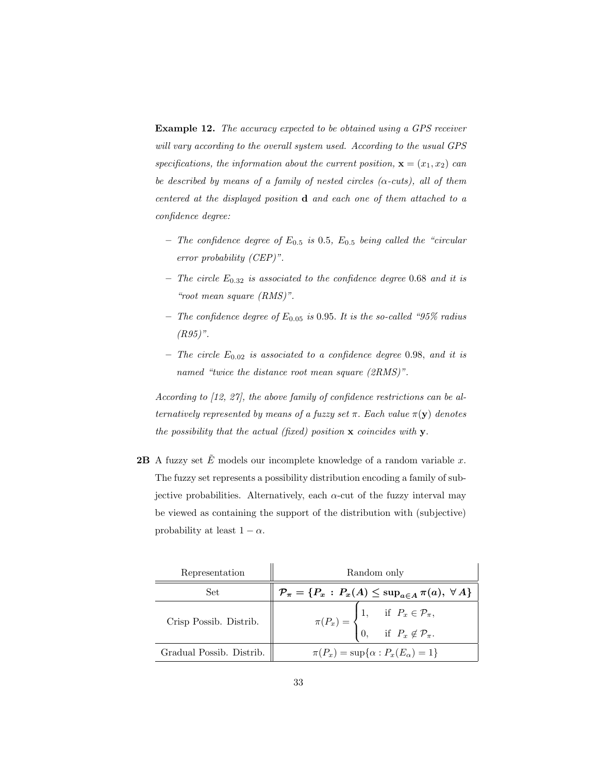**Example 12.** The accuracy expected to be obtained using a GPS receiver will vary according to the overall system used. According to the usual GPS specifications, the information about the current position,  $\mathbf{x} = (x_1, x_2)$  can be described by means of a family of nested circles  $(\alpha$ -cuts), all of them centered at the displayed position d and each one of them attached to a confidence degree:

- The confidence degree of  $E_{0.5}$  is 0.5,  $E_{0.5}$  being called the "circular error probability (CEP)".
- The circle  $E_{0.32}$  is associated to the confidence degree 0.68 and it is "root mean square (RMS)".
- The confidence degree of  $E_{0.05}$  is 0.95. It is the so-called "95% radius  $(R95)$ ".
- The circle  $E_{0.02}$  is associated to a confidence degree 0.98, and it is named "twice the distance root mean square  $(2RMS)$ ".

According to [12, 27], the above family of confidence restrictions can be alternatively represented by means of a fuzzy set  $\pi$ . Each value  $\pi(\mathbf{y})$  denotes the possibility that the actual (fixed) position  $\bf{x}$  coincides with  $\bf{y}$ .

**2B** A fuzzy set  $\tilde{E}$  models our incomplete knowledge of a random variable x. The fuzzy set represents a possibility distribution encoding a family of subjective probabilities. Alternatively, each  $\alpha$ -cut of the fuzzy interval may be viewed as containing the support of the distribution with (subjective) probability at least  $1 - \alpha$ .

| Representation           | Random only                                                                                                                        |
|--------------------------|------------------------------------------------------------------------------------------------------------------------------------|
| Set                      | $\Big\Vert \; \mathcal P_\pi = \{P_x \,:\, P_x(A) \leq \sup_{a \in A} \pi(a), \; \forall \, A\}$                                   |
| Crisp Possib. Distrib.   | $\pi(P_x) = \begin{cases} 1, & \text{if } P_x \in \mathcal{P}_{\pi}, \\ 0, & \text{if } P_x \notin \mathcal{P}_{\pi}. \end{cases}$ |
| Gradual Possib. Distrib. | $\pi(P_x) = \sup \{ \alpha : P_x(E_\alpha) = 1 \}$                                                                                 |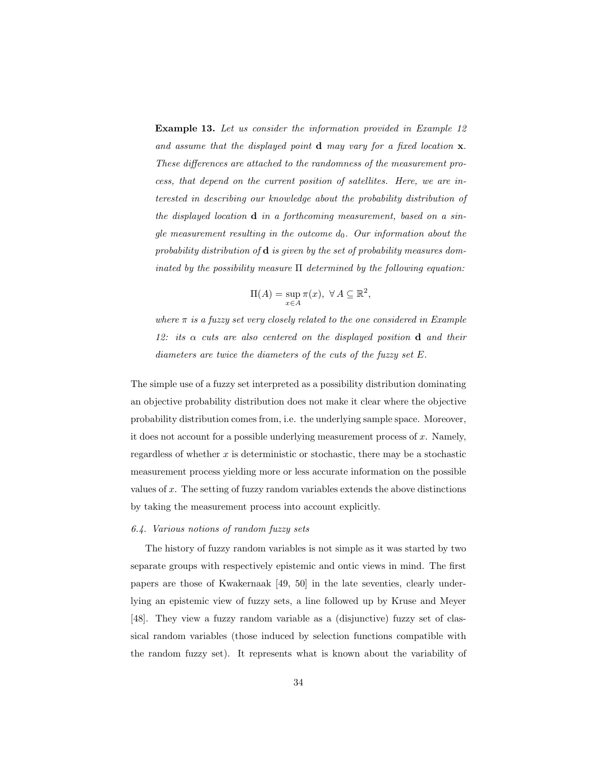Example 13. Let us consider the information provided in Example 12 and assume that the displayed point  $\bf d$  may vary for a fixed location  $\bf x$ . These differences are attached to the randomness of the measurement process, that depend on the current position of satellites. Here, we are interested in describing our knowledge about the probability distribution of the displayed location d in a forthcoming measurement, based on a single measurement resulting in the outcome  $d_0$ . Our information about the probability distribution of  $\mathbf d$  is given by the set of probability measures dominated by the possibility measure  $\Pi$  determined by the following equation:

$$
\Pi(A) = \sup_{x \in A} \pi(x), \ \forall A \subseteq \mathbb{R}^2,
$$

where  $\pi$  is a fuzzy set very closely related to the one considered in Example 12: its  $\alpha$  cuts are also centered on the displayed position **d** and their diameters are twice the diameters of the cuts of the fuzzy set E.

The simple use of a fuzzy set interpreted as a possibility distribution dominating an objective probability distribution does not make it clear where the objective probability distribution comes from, i.e. the underlying sample space. Moreover, it does not account for a possible underlying measurement process of  $x$ . Namely, regardless of whether  $x$  is deterministic or stochastic, there may be a stochastic measurement process yielding more or less accurate information on the possible values of  $x$ . The setting of fuzzy random variables extends the above distinctions by taking the measurement process into account explicitly.

# 6.4. Various notions of random fuzzy sets

The history of fuzzy random variables is not simple as it was started by two separate groups with respectively epistemic and ontic views in mind. The first papers are those of Kwakernaak [49, 50] in the late seventies, clearly underlying an epistemic view of fuzzy sets, a line followed up by Kruse and Meyer [48]. They view a fuzzy random variable as a (disjunctive) fuzzy set of classical random variables (those induced by selection functions compatible with the random fuzzy set). It represents what is known about the variability of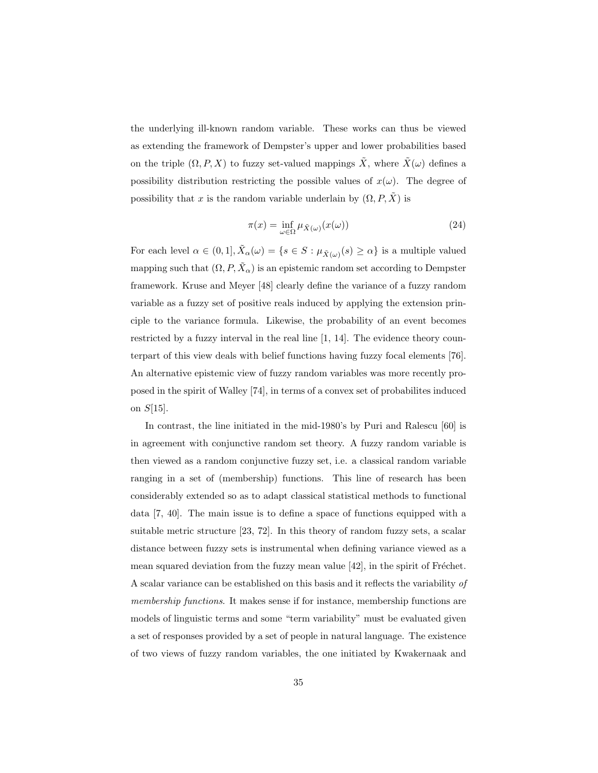the underlying ill-known random variable. These works can thus be viewed as extending the framework of Dempster's upper and lower probabilities based on the triple  $(\Omega, P, X)$  to fuzzy set-valued mappings  $\tilde{X}$ , where  $\tilde{X}(\omega)$  defines a possibility distribution restricting the possible values of  $x(\omega)$ . The degree of possibility that x is the random variable underlain by  $(\Omega, P, \tilde{X})$  is

$$
\pi(x) = \inf_{\omega \in \Omega} \mu_{\tilde{X}(\omega)}(x(\omega)) \tag{24}
$$

For each level  $\alpha \in (0,1], \tilde{X}_{\alpha}(\omega) = \{s \in S : \mu_{\tilde{X}(\omega)}(s) \geq \alpha\}$  is a multiple valued mapping such that  $(\Omega, P, \tilde{X}_{\alpha})$  is an epistemic random set according to Dempster framework. Kruse and Meyer [48] clearly define the variance of a fuzzy random variable as a fuzzy set of positive reals induced by applying the extension principle to the variance formula. Likewise, the probability of an event becomes restricted by a fuzzy interval in the real line [1, 14]. The evidence theory counterpart of this view deals with belief functions having fuzzy focal elements [76]. An alternative epistemic view of fuzzy random variables was more recently proposed in the spirit of Walley [74], in terms of a convex set of probabilites induced on  $S[15]$ .

In contrast, the line initiated in the mid-1980's by Puri and Ralescu [60] is in agreement with conjunctive random set theory. A fuzzy random variable is then viewed as a random conjunctive fuzzy set, i.e. a classical random variable ranging in a set of (membership) functions. This line of research has been considerably extended so as to adapt classical statistical methods to functional data [7, 40]. The main issue is to define a space of functions equipped with a suitable metric structure [23, 72]. In this theory of random fuzzy sets, a scalar distance between fuzzy sets is instrumental when defining variance viewed as a mean squared deviation from the fuzzy mean value  $[42]$ , in the spirit of Fréchet. A scalar variance can be established on this basis and it reflects the variability of membership functions. It makes sense if for instance, membership functions are models of linguistic terms and some "term variability" must be evaluated given a set of responses provided by a set of people in natural language. The existence of two views of fuzzy random variables, the one initiated by Kwakernaak and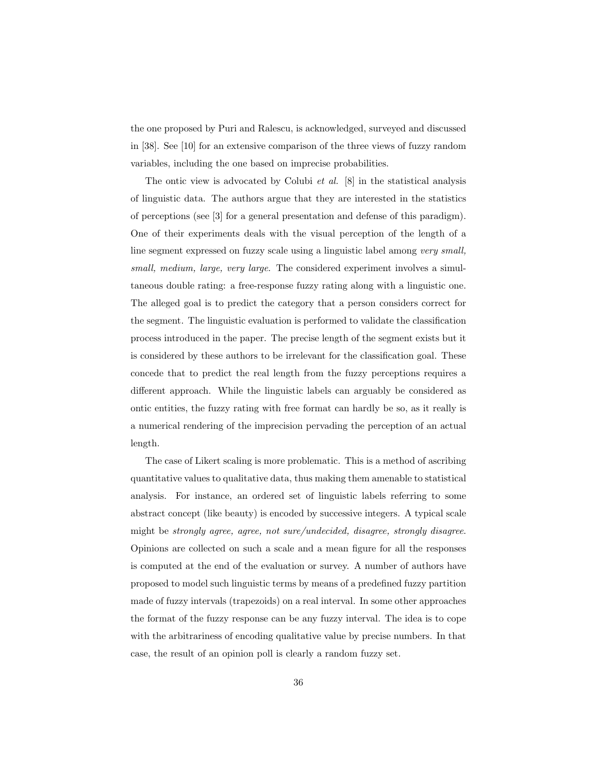the one proposed by Puri and Ralescu, is acknowledged, surveyed and discussed in [38]. See [10] for an extensive comparison of the three views of fuzzy random variables, including the one based on imprecise probabilities.

The ontic view is advocated by Colubi *et al.* [8] in the statistical analysis of linguistic data. The authors argue that they are interested in the statistics of perceptions (see [3] for a general presentation and defense of this paradigm). One of their experiments deals with the visual perception of the length of a line segment expressed on fuzzy scale using a linguistic label among very small, small, medium, large, very large. The considered experiment involves a simultaneous double rating: a free-response fuzzy rating along with a linguistic one. The alleged goal is to predict the category that a person considers correct for the segment. The linguistic evaluation is performed to validate the classification process introduced in the paper. The precise length of the segment exists but it is considered by these authors to be irrelevant for the classification goal. These concede that to predict the real length from the fuzzy perceptions requires a different approach. While the linguistic labels can arguably be considered as ontic entities, the fuzzy rating with free format can hardly be so, as it really is a numerical rendering of the imprecision pervading the perception of an actual length.

The case of Likert scaling is more problematic. This is a method of ascribing quantitative values to qualitative data, thus making them amenable to statistical analysis. For instance, an ordered set of linguistic labels referring to some abstract concept (like beauty) is encoded by successive integers. A typical scale might be strongly agree, agree, not sure/undecided, disagree, strongly disagree. Opinions are collected on such a scale and a mean figure for all the responses is computed at the end of the evaluation or survey. A number of authors have proposed to model such linguistic terms by means of a predefined fuzzy partition made of fuzzy intervals (trapezoids) on a real interval. In some other approaches the format of the fuzzy response can be any fuzzy interval. The idea is to cope with the arbitrariness of encoding qualitative value by precise numbers. In that case, the result of an opinion poll is clearly a random fuzzy set.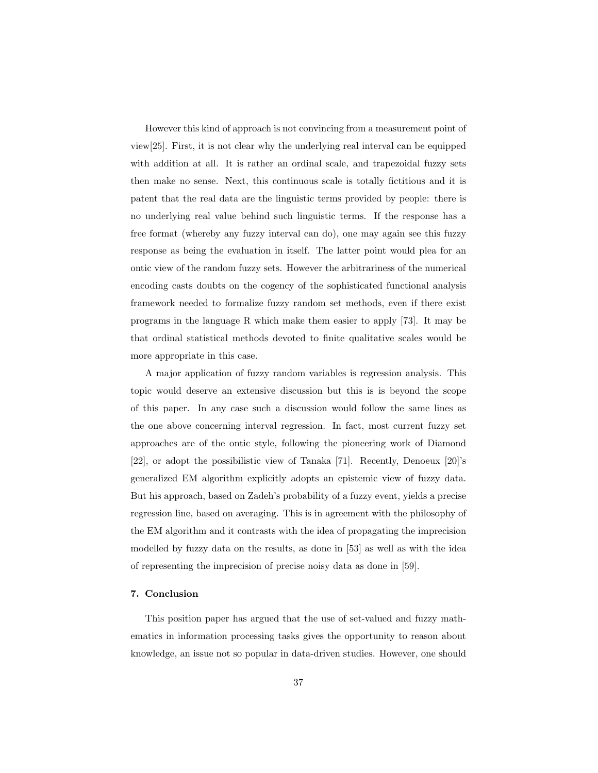However this kind of approach is not convincing from a measurement point of view[25]. First, it is not clear why the underlying real interval can be equipped with addition at all. It is rather an ordinal scale, and trapezoidal fuzzy sets then make no sense. Next, this continuous scale is totally fictitious and it is patent that the real data are the linguistic terms provided by people: there is no underlying real value behind such linguistic terms. If the response has a free format (whereby any fuzzy interval can do), one may again see this fuzzy response as being the evaluation in itself. The latter point would plea for an ontic view of the random fuzzy sets. However the arbitrariness of the numerical encoding casts doubts on the cogency of the sophisticated functional analysis framework needed to formalize fuzzy random set methods, even if there exist programs in the language R which make them easier to apply [73]. It may be that ordinal statistical methods devoted to finite qualitative scales would be more appropriate in this case.

A major application of fuzzy random variables is regression analysis. This topic would deserve an extensive discussion but this is is beyond the scope of this paper. In any case such a discussion would follow the same lines as the one above concerning interval regression. In fact, most current fuzzy set approaches are of the ontic style, following the pioneering work of Diamond [22], or adopt the possibilistic view of Tanaka [71]. Recently, Denoeux [20]'s generalized EM algorithm explicitly adopts an epistemic view of fuzzy data. But his approach, based on Zadeh's probability of a fuzzy event, yields a precise regression line, based on averaging. This is in agreement with the philosophy of the EM algorithm and it contrasts with the idea of propagating the imprecision modelled by fuzzy data on the results, as done in [53] as well as with the idea of representing the imprecision of precise noisy data as done in [59].

# 7. Conclusion

This position paper has argued that the use of set-valued and fuzzy mathematics in information processing tasks gives the opportunity to reason about knowledge, an issue not so popular in data-driven studies. However, one should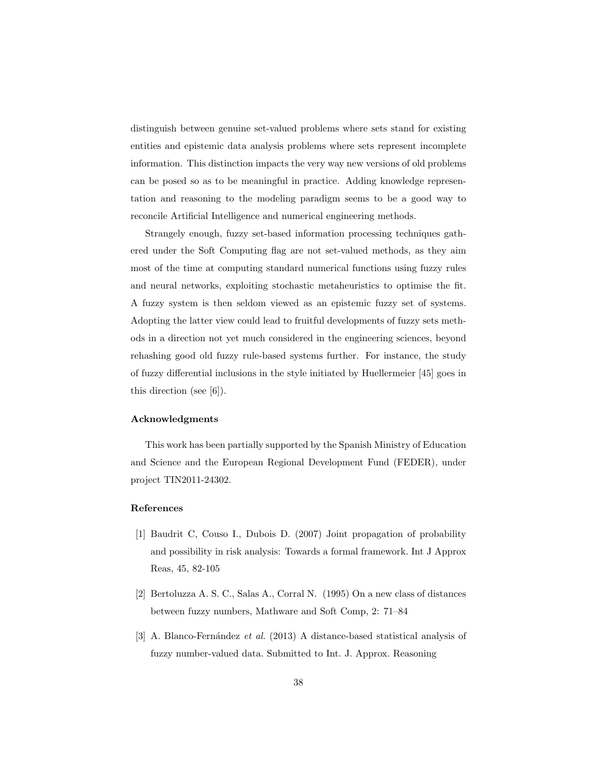distinguish between genuine set-valued problems where sets stand for existing entities and epistemic data analysis problems where sets represent incomplete information. This distinction impacts the very way new versions of old problems can be posed so as to be meaningful in practice. Adding knowledge representation and reasoning to the modeling paradigm seems to be a good way to reconcile Artificial Intelligence and numerical engineering methods.

Strangely enough, fuzzy set-based information processing techniques gathered under the Soft Computing flag are not set-valued methods, as they aim most of the time at computing standard numerical functions using fuzzy rules and neural networks, exploiting stochastic metaheuristics to optimise the fit. A fuzzy system is then seldom viewed as an epistemic fuzzy set of systems. Adopting the latter view could lead to fruitful developments of fuzzy sets methods in a direction not yet much considered in the engineering sciences, beyond rehashing good old fuzzy rule-based systems further. For instance, the study of fuzzy differential inclusions in the style initiated by Huellermeier [45] goes in this direction (see [6]).

## Acknowledgments

This work has been partially supported by the Spanish Ministry of Education and Science and the European Regional Development Fund (FEDER), under project TIN2011-24302.

# References

- [1] Baudrit C, Couso I., Dubois D. (2007) Joint propagation of probability and possibility in risk analysis: Towards a formal framework. Int J Approx Reas, 45, 82-105
- [2] Bertoluzza A. S. C., Salas A., Corral N. (1995) On a new class of distances between fuzzy numbers, Mathware and Soft Comp, 2: 71–84
- [3] A. Blanco-Fernández et al.  $(2013)$  A distance-based statistical analysis of fuzzy number-valued data. Submitted to Int. J. Approx. Reasoning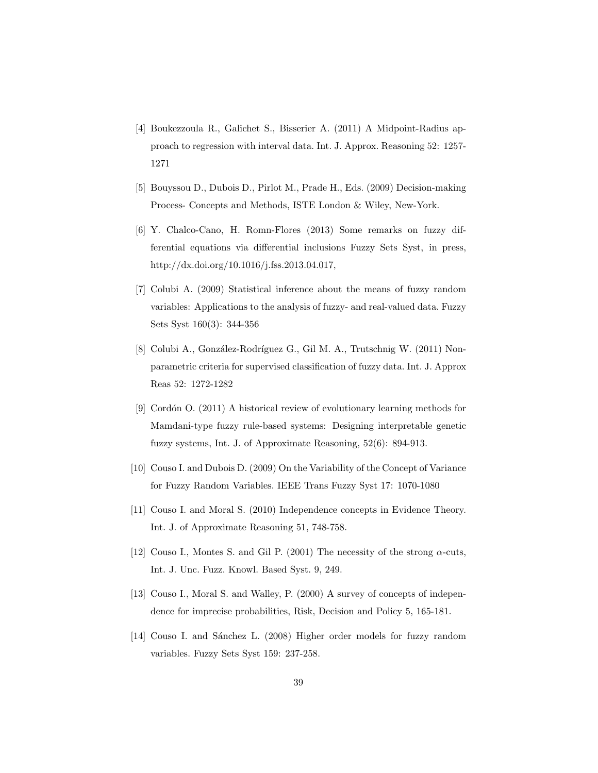- [4] Boukezzoula R., Galichet S., Bisserier A. (2011) A Midpoint-Radius approach to regression with interval data. Int. J. Approx. Reasoning 52: 1257- 1271
- [5] Bouyssou D., Dubois D., Pirlot M., Prade H., Eds. (2009) Decision-making Process- Concepts and Methods, ISTE London & Wiley, New-York.
- [6] Y. Chalco-Cano, H. Romn-Flores (2013) Some remarks on fuzzy differential equations via differential inclusions Fuzzy Sets Syst, in press, http://dx.doi.org/10.1016/j.fss.2013.04.017,
- [7] Colubi A. (2009) Statistical inference about the means of fuzzy random variables: Applications to the analysis of fuzzy- and real-valued data. Fuzzy Sets Syst 160(3): 344-356
- [8] Colubi A., González-Rodríguez G., Gil M. A., Trutschnig W. (2011) Nonparametric criteria for supervised classification of fuzzy data. Int. J. Approx Reas 52: 1272-1282
- [9] Cordón O. (2011) A historical review of evolutionary learning methods for Mamdani-type fuzzy rule-based systems: Designing interpretable genetic fuzzy systems, Int. J. of Approximate Reasoning, 52(6): 894-913.
- [10] Couso I. and Dubois D. (2009) On the Variability of the Concept of Variance for Fuzzy Random Variables. IEEE Trans Fuzzy Syst 17: 1070-1080
- [11] Couso I. and Moral S. (2010) Independence concepts in Evidence Theory. Int. J. of Approximate Reasoning 51, 748-758.
- [12] Couso I., Montes S. and Gil P. (2001) The necessity of the strong  $\alpha$ -cuts, Int. J. Unc. Fuzz. Knowl. Based Syst. 9, 249.
- [13] Couso I., Moral S. and Walley, P. (2000) A survey of concepts of independence for imprecise probabilities, Risk, Decision and Policy 5, 165-181.
- [14] Couso I. and Sánchez L. (2008) Higher order models for fuzzy random variables. Fuzzy Sets Syst 159: 237-258.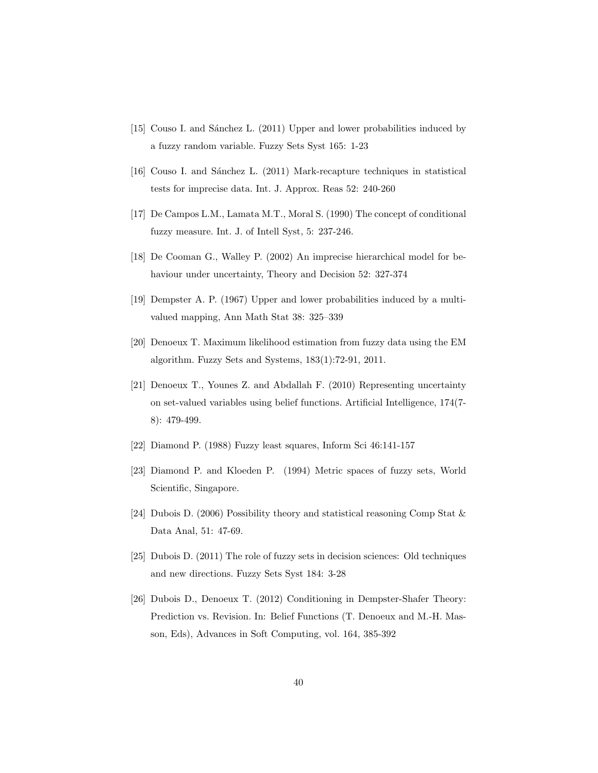- [15] Couso I. and Sánchez L. (2011) Upper and lower probabilities induced by a fuzzy random variable. Fuzzy Sets Syst 165: 1-23
- [16] Couso I. and Sánchez L. (2011) Mark-recapture techniques in statistical tests for imprecise data. Int. J. Approx. Reas 52: 240-260
- [17] De Campos L.M., Lamata M.T., Moral S. (1990) The concept of conditional fuzzy measure. Int. J. of Intell Syst, 5: 237-246.
- [18] De Cooman G., Walley P. (2002) An imprecise hierarchical model for behaviour under uncertainty, Theory and Decision 52: 327-374
- [19] Dempster A. P. (1967) Upper and lower probabilities induced by a multivalued mapping, Ann Math Stat 38: 325–339
- [20] Denoeux T. Maximum likelihood estimation from fuzzy data using the EM algorithm. Fuzzy Sets and Systems, 183(1):72-91, 2011.
- [21] Denoeux T., Younes Z. and Abdallah F. (2010) Representing uncertainty on set-valued variables using belief functions. Artificial Intelligence, 174(7- 8): 479-499.
- [22] Diamond P. (1988) Fuzzy least squares, Inform Sci 46:141-157
- [23] Diamond P. and Kloeden P. (1994) Metric spaces of fuzzy sets, World Scientific, Singapore.
- [24] Dubois D. (2006) Possibility theory and statistical reasoning Comp Stat & Data Anal, 51: 47-69.
- [25] Dubois D. (2011) The role of fuzzy sets in decision sciences: Old techniques and new directions. Fuzzy Sets Syst 184: 3-28
- [26] Dubois D., Denoeux T. (2012) Conditioning in Dempster-Shafer Theory: Prediction vs. Revision. In: Belief Functions (T. Denoeux and M.-H. Masson, Eds), Advances in Soft Computing, vol. 164, 385-392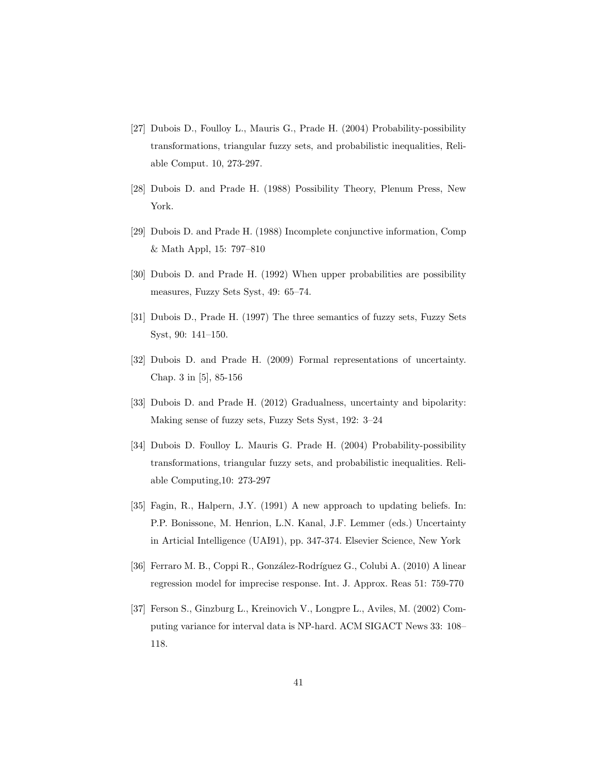- [27] Dubois D., Foulloy L., Mauris G., Prade H. (2004) Probability-possibility transformations, triangular fuzzy sets, and probabilistic inequalities, Reliable Comput. 10, 273-297.
- [28] Dubois D. and Prade H. (1988) Possibility Theory, Plenum Press, New York.
- [29] Dubois D. and Prade H. (1988) Incomplete conjunctive information, Comp & Math Appl, 15: 797–810
- [30] Dubois D. and Prade H. (1992) When upper probabilities are possibility measures, Fuzzy Sets Syst, 49: 65–74.
- [31] Dubois D., Prade H. (1997) The three semantics of fuzzy sets, Fuzzy Sets Syst, 90: 141–150.
- [32] Dubois D. and Prade H. (2009) Formal representations of uncertainty. Chap. 3 in [5], 85-156
- [33] Dubois D. and Prade H. (2012) Gradualness, uncertainty and bipolarity: Making sense of fuzzy sets, Fuzzy Sets Syst, 192: 3–24
- [34] Dubois D. Foulloy L. Mauris G. Prade H. (2004) Probability-possibility transformations, triangular fuzzy sets, and probabilistic inequalities. Reliable Computing,10: 273-297
- [35] Fagin, R., Halpern, J.Y. (1991) A new approach to updating beliefs. In: P.P. Bonissone, M. Henrion, L.N. Kanal, J.F. Lemmer (eds.) Uncertainty in Articial Intelligence (UAI91), pp. 347-374. Elsevier Science, New York
- [36] Ferraro M. B., Coppi R., González-Rodríguez G., Colubi A. (2010) A linear regression model for imprecise response. Int. J. Approx. Reas 51: 759-770
- [37] Ferson S., Ginzburg L., Kreinovich V., Longpre L., Aviles, M. (2002) Computing variance for interval data is NP-hard. ACM SIGACT News 33: 108– 118.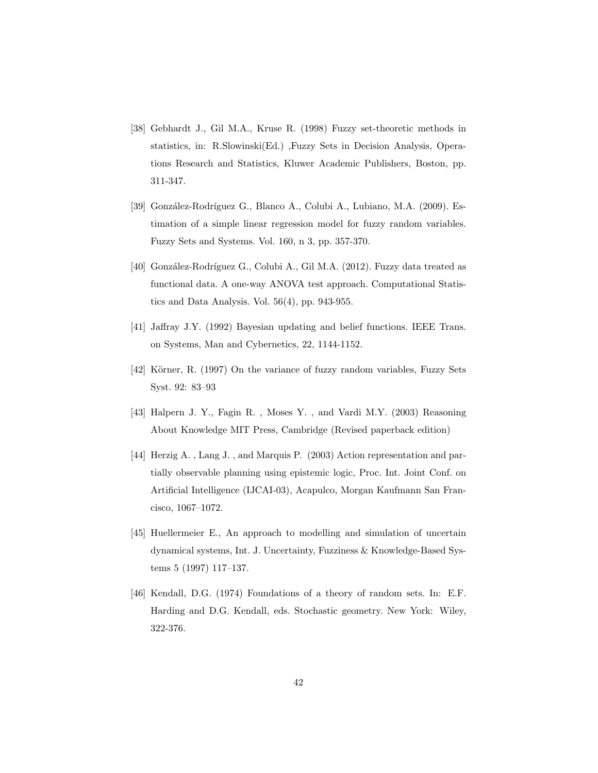- [38] Gebhardt J., Gil M.A., Kruse R. (1998) Fuzzy set-theoretic methods in statistics, in: R.Slowinski(Ed.) ,Fuzzy Sets in Decision Analysis, Operations Research and Statistics, Kluwer Academic Publishers, Boston, pp. 311-347.
- [39] González-Rodríguez G., Blanco A., Colubi A., Lubiano, M.A. (2009). Estimation of a simple linear regression model for fuzzy random variables. Fuzzy Sets and Systems. Vol. 160, n 3, pp. 357-370.
- [40] González-Rodríguez G., Colubi A., Gil M.A. (2012). Fuzzy data treated as functional data. A one-way ANOVA test approach. Computational Statistics and Data Analysis. Vol. 56(4), pp. 943-955.
- [41] Jaffray J.Y. (1992) Bayesian updating and belief functions. IEEE Trans. on Systems, Man and Cybernetics, 22, 1144-1152.
- [42] Körner, R. (1997) On the variance of fuzzy random variables, Fuzzy Sets Syst. 92: 83–93
- [43] Halpern J. Y., Fagin R. , Moses Y. , and Vardi M.Y. (2003) Reasoning About Knowledge MIT Press, Cambridge (Revised paperback edition)
- [44] Herzig A., Lang J., and Marquis P. (2003) Action representation and partially observable planning using epistemic logic, Proc. Int. Joint Conf. on Artificial Intelligence (IJCAI-03), Acapulco, Morgan Kaufmann San Francisco, 1067–1072.
- [45] Huellermeier E., An approach to modelling and simulation of uncertain dynamical systems, Int. J. Uncertainty, Fuzziness & Knowledge-Based Systems 5 (1997) 117–137.
- [46] Kendall, D.G. (1974) Foundations of a theory of random sets. In: E.F. Harding and D.G. Kendall, eds. Stochastic geometry. New York: Wiley, 322-376.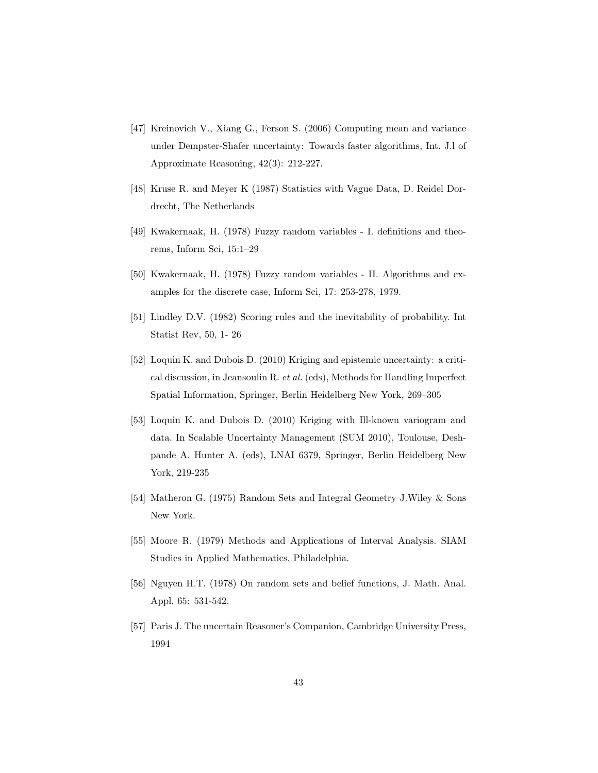- [47] Kreinovich V., Xiang G., Ferson S. (2006) Computing mean and variance under Dempster-Shafer uncertainty: Towards faster algorithms, Int. J.l of Approximate Reasoning, 42(3): 212-227.
- [48] Kruse R. and Meyer K (1987) Statistics with Vague Data, D. Reidel Dordrecht, The Netherlands
- [49] Kwakernaak, H. (1978) Fuzzy random variables I. definitions and theorems, Inform Sci, 15:1–29
- [50] Kwakernaak, H. (1978) Fuzzy random variables II. Algorithms and examples for the discrete case, Inform Sci, 17: 253-278, 1979.
- [51] Lindley D.V. (1982) Scoring rules and the inevitability of probability. Int Statist Rev, 50, 1- 26
- [52] Loquin K. and Dubois D. (2010) Kriging and epistemic uncertainty: a critical discussion, in Jeansoulin R. et al. (eds), Methods for Handling Imperfect Spatial Information, Springer, Berlin Heidelberg New York, 269–305
- [53] Loquin K. and Dubois D. (2010) Kriging with Ill-known variogram and data. In Scalable Uncertainty Management (SUM 2010), Toulouse, Deshpande A. Hunter A. (eds), LNAI 6379, Springer, Berlin Heidelberg New York, 219-235
- [54] Matheron G. (1975) Random Sets and Integral Geometry J.Wiley & Sons New York.
- [55] Moore R. (1979) Methods and Applications of Interval Analysis. SIAM Studies in Applied Mathematics, Philadelphia.
- [56] Nguyen H.T. (1978) On random sets and belief functions, J. Math. Anal. Appl. 65: 531-542.
- [57] Paris J. The uncertain Reasoner's Companion, Cambridge University Press, 1994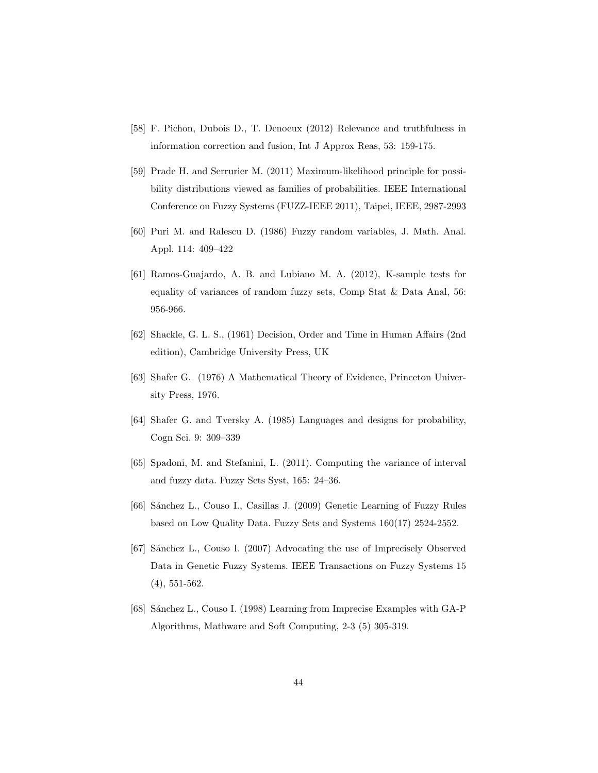- [58] F. Pichon, Dubois D., T. Denoeux (2012) Relevance and truthfulness in information correction and fusion, Int J Approx Reas, 53: 159-175.
- [59] Prade H. and Serrurier M. (2011) Maximum-likelihood principle for possibility distributions viewed as families of probabilities. IEEE International Conference on Fuzzy Systems (FUZZ-IEEE 2011), Taipei, IEEE, 2987-2993
- [60] Puri M. and Ralescu D. (1986) Fuzzy random variables, J. Math. Anal. Appl. 114: 409–422
- [61] Ramos-Guajardo, A. B. and Lubiano M. A. (2012), K-sample tests for equality of variances of random fuzzy sets, Comp Stat & Data Anal, 56: 956-966.
- [62] Shackle, G. L. S., (1961) Decision, Order and Time in Human Affairs (2nd edition), Cambridge University Press, UK
- [63] Shafer G. (1976) A Mathematical Theory of Evidence, Princeton University Press, 1976.
- [64] Shafer G. and Tversky A. (1985) Languages and designs for probability, Cogn Sci. 9: 309–339
- [65] Spadoni, M. and Stefanini, L. (2011). Computing the variance of interval and fuzzy data. Fuzzy Sets Syst, 165: 24–36.
- [66] S´anchez L., Couso I., Casillas J. (2009) Genetic Learning of Fuzzy Rules based on Low Quality Data. Fuzzy Sets and Systems 160(17) 2524-2552.
- [67] S´anchez L., Couso I. (2007) Advocating the use of Imprecisely Observed Data in Genetic Fuzzy Systems. IEEE Transactions on Fuzzy Systems 15 (4), 551-562.
- [68] Sánchez L., Couso I. (1998) Learning from Imprecise Examples with GA-P Algorithms, Mathware and Soft Computing, 2-3 (5) 305-319.